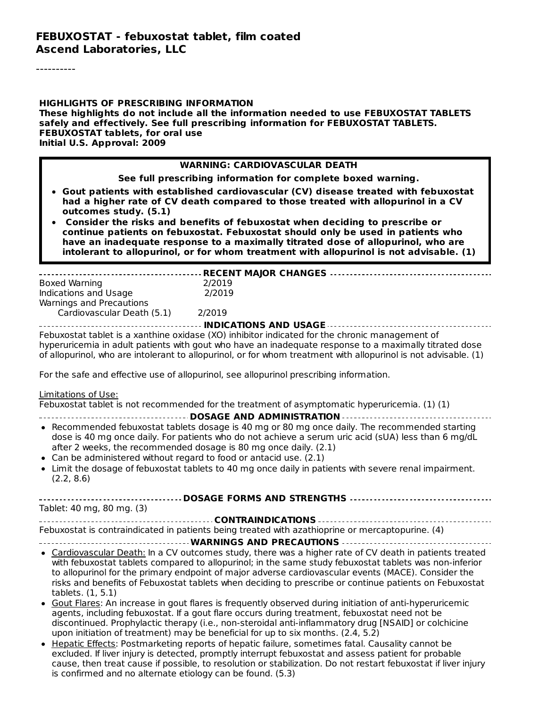----------

**HIGHLIGHTS OF PRESCRIBING INFORMATION These highlights do not include all the information needed to use FEBUXOSTAT TABLETS safely and effectively. See full prescribing information for FEBUXOSTAT TABLETS. FEBUXOSTAT tablets, for oral use Initial U.S. Approval: 2009**

#### **WARNING: CARDIOVASCULAR DEATH**

**See full prescribing information for complete boxed warning.**

- **Gout patients with established cardiovascular (CV) disease treated with febuxostat had a higher rate of CV death compared to those treated with allopurinol in a CV outcomes study. (5.1)**
- **Consider the risks and benefits of febuxostat when deciding to prescribe or continue patients on febuxostat. Febuxostat should only be used in patients who have an inadequate response to a maximally titrated dose of allopurinol, who are intolerant to allopurinol, or for whom treatment with allopurinol is not advisable. (1)**

| Boxed Warning<br>Indications and Usage<br>Warnings and Precautions             | 2/2019<br>2/2019                                                                                                                                                                                                                                                                                                                                                                                                                                                                                                                                                                                                                                |
|--------------------------------------------------------------------------------|-------------------------------------------------------------------------------------------------------------------------------------------------------------------------------------------------------------------------------------------------------------------------------------------------------------------------------------------------------------------------------------------------------------------------------------------------------------------------------------------------------------------------------------------------------------------------------------------------------------------------------------------------|
| Cardiovascular Death (5.1) 2/2019                                              |                                                                                                                                                                                                                                                                                                                                                                                                                                                                                                                                                                                                                                                 |
|                                                                                | ----------------------------- INDICATIONS AND USAGE ----------------------------                                                                                                                                                                                                                                                                                                                                                                                                                                                                                                                                                                |
|                                                                                | Febuxostat tablet is a xanthine oxidase (XO) inhibitor indicated for the chronic management of<br>hyperuricemia in adult patients with gout who have an inadequate response to a maximally titrated dose<br>of allopurinol, who are intolerant to allopurinol, or for whom treatment with allopurinol is not advisable. (1)                                                                                                                                                                                                                                                                                                                     |
|                                                                                | For the safe and effective use of allopurinol, see allopurinol prescribing information.                                                                                                                                                                                                                                                                                                                                                                                                                                                                                                                                                         |
| Limitations of Use:                                                            | Febuxostat tablet is not recommended for the treatment of asymptomatic hyperuricemia. (1) (1)<br>----------------------------------- DOSAGE AND ADMINISTRATION --------------------------                                                                                                                                                                                                                                                                                                                                                                                                                                                       |
| Can be administered without regard to food or antacid use. (2.1)<br>(2.2, 8.6) | • Recommended febuxostat tablets dosage is 40 mg or 80 mg once daily. The recommended starting<br>dose is 40 mg once daily. For patients who do not achieve a serum uric acid (sUA) less than 6 mg/dL<br>after 2 weeks, the recommended dosage is 80 mg once daily. (2.1)<br>• Limit the dosage of febuxostat tablets to 40 mg once daily in patients with severe renal impairment.                                                                                                                                                                                                                                                             |
| Tablet: 40 mg, 80 mg. (3)                                                      |                                                                                                                                                                                                                                                                                                                                                                                                                                                                                                                                                                                                                                                 |
|                                                                                |                                                                                                                                                                                                                                                                                                                                                                                                                                                                                                                                                                                                                                                 |
|                                                                                | Febuxostat is contraindicated in patients being treated with azathioprine or mercaptopurine. (4)                                                                                                                                                                                                                                                                                                                                                                                                                                                                                                                                                |
|                                                                                |                                                                                                                                                                                                                                                                                                                                                                                                                                                                                                                                                                                                                                                 |
| tablets. (1, 5.1)                                                              | • Cardiovascular Death: In a CV outcomes study, there was a higher rate of CV death in patients treated<br>with febuxostat tablets compared to allopurinol; in the same study febuxostat tablets was non-inferior<br>to allopurinol for the primary endpoint of major adverse cardiovascular events (MACE). Consider the<br>risks and benefits of Febuxostat tablets when deciding to prescribe or continue patients on Febuxostat<br>• Gout Flares: An increase in gout flares is frequently observed during initiation of anti-hyperuricemic<br>agents, including febuxostat. If a gout flare occurs during treatment, febuxostat need not be |
|                                                                                | discontinued. Prophylactic therapy (i.e., non-steroidal anti-inflammatory drug [NSAID] or colchicine<br>upon initiation of treatment) may be beneficial for up to six months. (2.4, 5.2)                                                                                                                                                                                                                                                                                                                                                                                                                                                        |
| is confirmed and no alternate etiology can be found. (5.3)                     | • Hepatic Effects: Postmarketing reports of hepatic failure, sometimes fatal. Causality cannot be<br>excluded. If liver injury is detected, promptly interrupt febuxostat and assess patient for probable<br>cause, then treat cause if possible, to resolution or stabilization. Do not restart febuxostat if liver injury                                                                                                                                                                                                                                                                                                                     |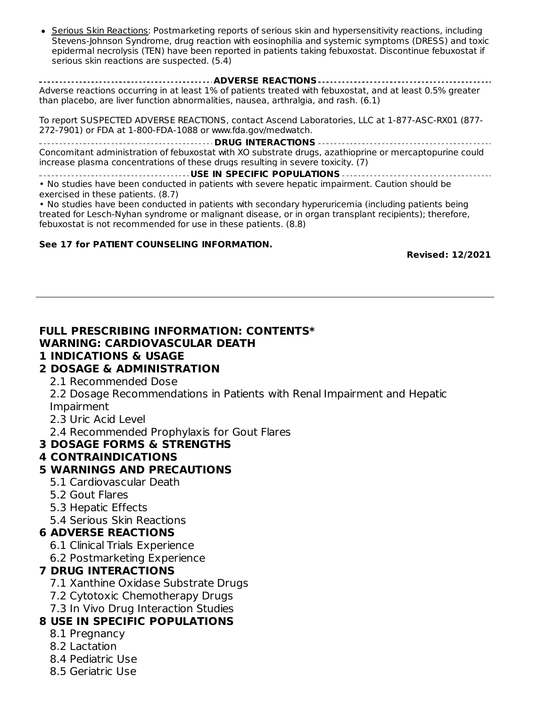Serious Skin Reactions: Postmarketing reports of serious skin and hypersensitivity reactions, including Stevens-Johnson Syndrome, drug reaction with eosinophilia and systemic symptoms (DRESS) and toxic epidermal necrolysis (TEN) have been reported in patients taking febuxostat. Discontinue febuxostat if serious skin reactions are suspected. (5.4)

**ADVERSE REACTIONS** Adverse reactions occurring in at least 1% of patients treated with febuxostat, and at least 0.5% greater than placebo, are liver function abnormalities, nausea, arthralgia, and rash. (6.1)

To report SUSPECTED ADVERSE REACTIONS, contact Ascend Laboratories, LLC at 1-877-ASC-RX01 (877- 272-7901) or FDA at 1-800-FDA-1088 or www.fda.gov/medwatch.

**DRUG INTERACTIONS** Concomitant administration of febuxostat with XO substrate drugs, azathioprine or mercaptopurine could increase plasma concentrations of these drugs resulting in severe toxicity. (7)

**USE IN SPECIFIC POPULATIONS** • No studies have been conducted in patients with severe hepatic impairment. Caution should be exercised in these patients. (8.7)

• No studies have been conducted in patients with secondary hyperuricemia (including patients being treated for Lesch-Nyhan syndrome or malignant disease, or in organ transplant recipients); therefore, febuxostat is not recommended for use in these patients. (8.8)

#### **See 17 for PATIENT COUNSELING INFORMATION.**

**Revised: 12/2021**

#### **FULL PRESCRIBING INFORMATION: CONTENTS\* WARNING: CARDIOVASCULAR DEATH**

#### **1 INDICATIONS & USAGE**

#### **2 DOSAGE & ADMINISTRATION**

2.1 Recommended Dose

2.2 Dosage Recommendations in Patients with Renal Impairment and Hepatic Impairment

2.3 Uric Acid Level

2.4 Recommended Prophylaxis for Gout Flares

### **3 DOSAGE FORMS & STRENGTHS**

#### **4 CONTRAINDICATIONS**

### **5 WARNINGS AND PRECAUTIONS**

- 5.1 Cardiovascular Death
- 5.2 Gout Flares
- 5.3 Hepatic Effects
- 5.4 Serious Skin Reactions

#### **6 ADVERSE REACTIONS**

- 6.1 Clinical Trials Experience
- 6.2 Postmarketing Experience

### **7 DRUG INTERACTIONS**

- 7.1 Xanthine Oxidase Substrate Drugs
- 7.2 Cytotoxic Chemotherapy Drugs
- 7.3 In Vivo Drug Interaction Studies

### **8 USE IN SPECIFIC POPULATIONS**

- 8.1 Pregnancy
- 8.2 Lactation
- 8.4 Pediatric Use
- 8.5 Geriatric Use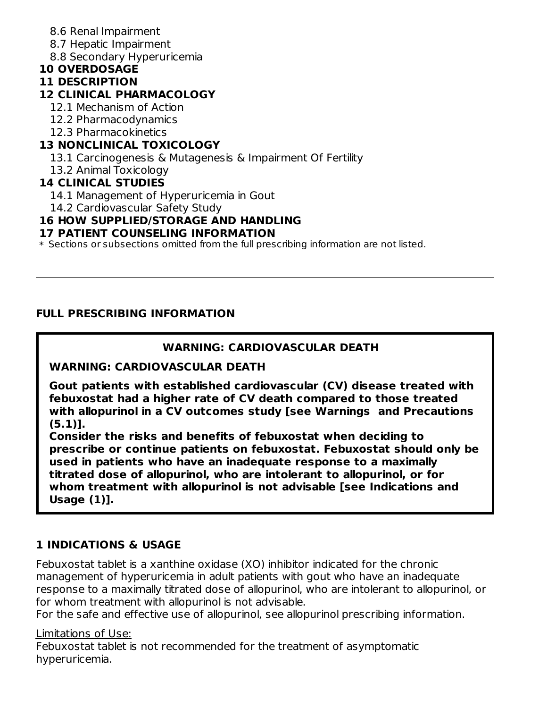- 8.6 Renal Impairment
- 8.7 Hepatic Impairment
- 8.8 Secondary Hyperuricemia

# **10 OVERDOSAGE**

#### **11 DESCRIPTION**

# **12 CLINICAL PHARMACOLOGY**

- 12.1 Mechanism of Action
- 12.2 Pharmacodynamics
- 12.3 Pharmacokinetics

# **13 NONCLINICAL TOXICOLOGY**

- 13.1 Carcinogenesis & Mutagenesis & Impairment Of Fertility
- 13.2 Animal Toxicology

# **14 CLINICAL STUDIES**

- 14.1 Management of Hyperuricemia in Gout
- 14.2 Cardiovascular Safety Study

# **16 HOW SUPPLIED/STORAGE AND HANDLING**

### **17 PATIENT COUNSELING INFORMATION**

 $\ast$  Sections or subsections omitted from the full prescribing information are not listed.

### **FULL PRESCRIBING INFORMATION**

### **WARNING: CARDIOVASCULAR DEATH**

### **WARNING: CARDIOVASCULAR DEATH**

**Gout patients with established cardiovascular (CV) disease treated with febuxostat had a higher rate of CV death compared to those treated with allopurinol in a CV outcomes study [see Warnings and Precautions (5.1)].**

**Consider the risks and benefits of febuxostat when deciding to prescribe or continue patients on febuxostat. Febuxostat should only be used in patients who have an inadequate response to a maximally titrated dose of allopurinol, who are intolerant to allopurinol, or for whom treatment with allopurinol is not advisable [see Indications and Usage (1)].**

# **1 INDICATIONS & USAGE**

Febuxostat tablet is a xanthine oxidase (XO) inhibitor indicated for the chronic management of hyperuricemia in adult patients with gout who have an inadequate response to a maximally titrated dose of allopurinol, who are intolerant to allopurinol, or for whom treatment with allopurinol is not advisable.

For the safe and effective use of allopurinol, see allopurinol prescribing information.

### Limitations of Use:

Febuxostat tablet is not recommended for the treatment of asymptomatic hyperuricemia.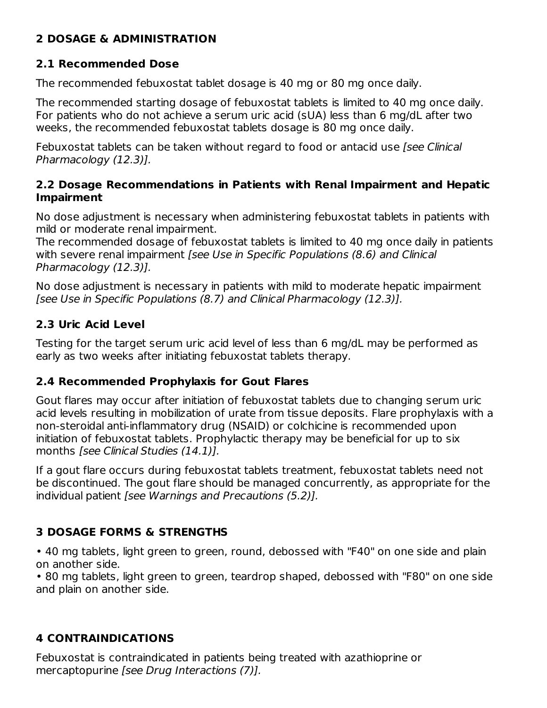# **2 DOSAGE & ADMINISTRATION**

## **2.1 Recommended Dose**

The recommended febuxostat tablet dosage is 40 mg or 80 mg once daily.

The recommended starting dosage of febuxostat tablets is limited to 40 mg once daily. For patients who do not achieve a serum uric acid (sUA) less than 6 mg/dL after two weeks, the recommended febuxostat tablets dosage is 80 mg once daily.

Febuxostat tablets can be taken without regard to food or antacid use [see Clinical Pharmacology (12.3)].

#### **2.2 Dosage Recommendations in Patients with Renal Impairment and Hepatic Impairment**

No dose adjustment is necessary when administering febuxostat tablets in patients with mild or moderate renal impairment.

The recommended dosage of febuxostat tablets is limited to 40 mg once daily in patients with severe renal impairment [see Use in Specific Populations (8.6) and Clinical Pharmacology (12.3)].

No dose adjustment is necessary in patients with mild to moderate hepatic impairment [see Use in Specific Populations (8.7) and Clinical Pharmacology (12.3)].

# **2.3 Uric Acid Level**

Testing for the target serum uric acid level of less than 6 mg/dL may be performed as early as two weeks after initiating febuxostat tablets therapy.

### **2.4 Recommended Prophylaxis for Gout Flares**

Gout flares may occur after initiation of febuxostat tablets due to changing serum uric acid levels resulting in mobilization of urate from tissue deposits. Flare prophylaxis with a non-steroidal anti-inflammatory drug (NSAID) or colchicine is recommended upon initiation of febuxostat tablets. Prophylactic therapy may be beneficial for up to six months [see Clinical Studies (14.1)].

If a gout flare occurs during febuxostat tablets treatment, febuxostat tablets need not be discontinued. The gout flare should be managed concurrently, as appropriate for the individual patient [see Warnings and Precautions (5.2)].

# **3 DOSAGE FORMS & STRENGTHS**

• 40 mg tablets, light green to green, round, debossed with "F40" on one side and plain on another side.

• 80 mg tablets, light green to green, teardrop shaped, debossed with "F80" on one side and plain on another side.

# **4 CONTRAINDICATIONS**

Febuxostat is contraindicated in patients being treated with azathioprine or mercaptopurine [see Drug Interactions (7)].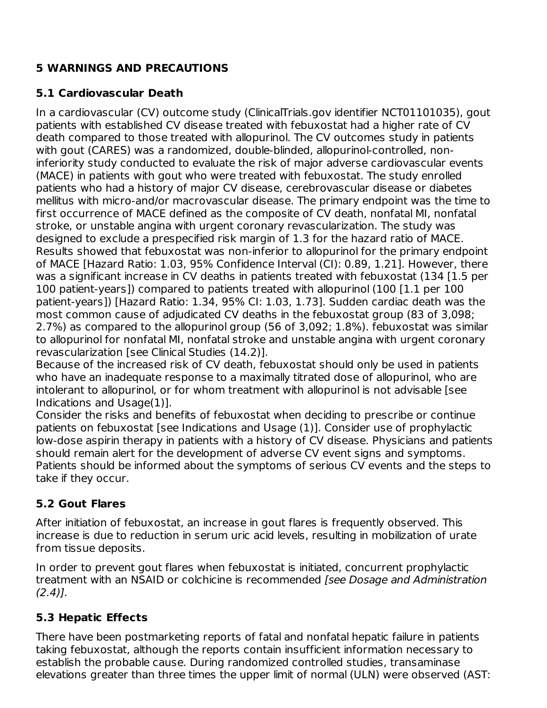# **5 WARNINGS AND PRECAUTIONS**

# **5.1 Cardiovascular Death**

In a cardiovascular (CV) outcome study (ClinicalTrials.gov identifier NCT01101035), gout patients with established CV disease treated with febuxostat had a higher rate of CV death compared to those treated with allopurinol. The CV outcomes study in patients with gout (CARES) was a randomized, double-blinded, allopurinol-controlled, noninferiority study conducted to evaluate the risk of major adverse cardiovascular events (MACE) in patients with gout who were treated with febuxostat. The study enrolled patients who had a history of major CV disease, cerebrovascular disease or diabetes mellitus with micro-and/or macrovascular disease. The primary endpoint was the time to first occurrence of MACE defined as the composite of CV death, nonfatal MI, nonfatal stroke, or unstable angina with urgent coronary revascularization. The study was designed to exclude a prespecified risk margin of 1.3 for the hazard ratio of MACE. Results showed that febuxostat was non-inferior to allopurinol for the primary endpoint of MACE [Hazard Ratio: 1.03, 95% Confidence Interval (CI): 0.89, 1.21]. However, there was a significant increase in CV deaths in patients treated with febuxostat (134 [1.5 per 100 patient-years]) compared to patients treated with allopurinol (100 [1.1 per 100 patient-years]) [Hazard Ratio: 1.34, 95% CI: 1.03, 1.73]. Sudden cardiac death was the most common cause of adjudicated CV deaths in the febuxostat group (83 of 3,098; 2.7%) as compared to the allopurinol group (56 of 3,092; 1.8%). febuxostat was similar to allopurinol for nonfatal MI, nonfatal stroke and unstable angina with urgent coronary revascularization [see Clinical Studies (14.2)].

Because of the increased risk of CV death, febuxostat should only be used in patients who have an inadequate response to a maximally titrated dose of allopurinol, who are intolerant to allopurinol, or for whom treatment with allopurinol is not advisable [see Indications and Usage(1)].

Consider the risks and benefits of febuxostat when deciding to prescribe or continue patients on febuxostat [see Indications and Usage (1)]. Consider use of prophylactic low-dose aspirin therapy in patients with a history of CV disease. Physicians and patients should remain alert for the development of adverse CV event signs and symptoms. Patients should be informed about the symptoms of serious CV events and the steps to take if they occur.

# **5.2 Gout Flares**

After initiation of febuxostat, an increase in gout flares is frequently observed. This increase is due to reduction in serum uric acid levels, resulting in mobilization of urate from tissue deposits.

In order to prevent gout flares when febuxostat is initiated, concurrent prophylactic treatment with an NSAID or colchicine is recommended [see Dosage and Administration  $(2.4)$ ].

# **5.3 Hepatic Effects**

There have been postmarketing reports of fatal and nonfatal hepatic failure in patients taking febuxostat, although the reports contain insufficient information necessary to establish the probable cause. During randomized controlled studies, transaminase elevations greater than three times the upper limit of normal (ULN) were observed (AST: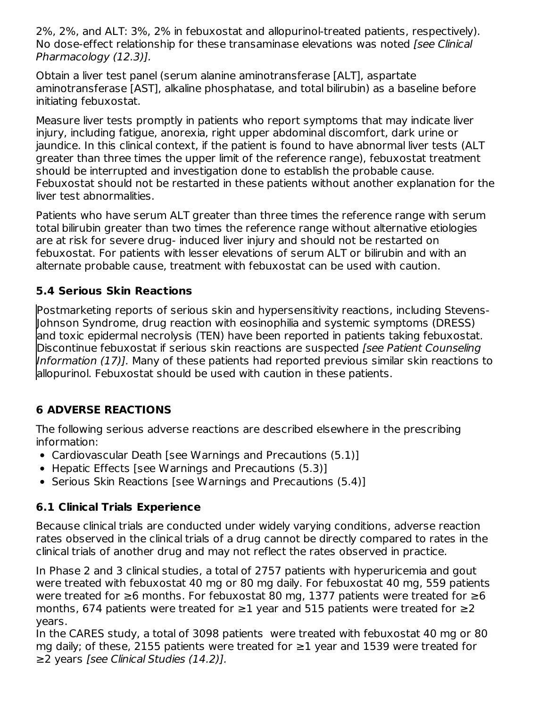2%, 2%, and ALT: 3%, 2% in febuxostat and allopurinol-treated patients, respectively). No dose-effect relationship for these transaminase elevations was noted [see Clinical Pharmacology (12.3)].

Obtain a liver test panel (serum alanine aminotransferase [ALT], aspartate aminotransferase [AST], alkaline phosphatase, and total bilirubin) as a baseline before initiating febuxostat.

Measure liver tests promptly in patients who report symptoms that may indicate liver injury, including fatigue, anorexia, right upper abdominal discomfort, dark urine or jaundice. In this clinical context, if the patient is found to have abnormal liver tests (ALT greater than three times the upper limit of the reference range), febuxostat treatment should be interrupted and investigation done to establish the probable cause. Febuxostat should not be restarted in these patients without another explanation for the liver test abnormalities.

Patients who have serum ALT greater than three times the reference range with serum total bilirubin greater than two times the reference range without alternative etiologies are at risk for severe drug- induced liver injury and should not be restarted on febuxostat. For patients with lesser elevations of serum ALT or bilirubin and with an alternate probable cause, treatment with febuxostat can be used with caution.

# **5.4 Serious Skin Reactions**

Postmarketing reports of serious skin and hypersensitivity reactions, including Stevens-Johnson Syndrome, drug reaction with eosinophilia and systemic symptoms (DRESS) and toxic epidermal necrolysis (TEN) have been reported in patients taking febuxostat. Discontinue febuxostat if serious skin reactions are suspected *[see Patient Counseling* Information (17)]. Many of these patients had reported previous similar skin reactions to allopurinol. Febuxostat should be used with caution in these patients.

# **6 ADVERSE REACTIONS**

The following serious adverse reactions are described elsewhere in the prescribing information:

- Cardiovascular Death [see Warnings and Precautions (5.1)]
- Hepatic Effects [see Warnings and Precautions (5.3)]
- Serious Skin Reactions [see Warnings and Precautions (5.4)]

# **6.1 Clinical Trials Experience**

Because clinical trials are conducted under widely varying conditions, adverse reaction rates observed in the clinical trials of a drug cannot be directly compared to rates in the clinical trials of another drug and may not reflect the rates observed in practice.

In Phase 2 and 3 clinical studies, a total of 2757 patients with hyperuricemia and gout were treated with febuxostat 40 mg or 80 mg daily. For febuxostat 40 mg, 559 patients were treated for ≥6 months. For febuxostat 80 mg, 1377 patients were treated for ≥6 months, 674 patients were treated for  $\geq$ 1 year and 515 patients were treated for  $\geq$ 2 years.

In the CARES study, a total of 3098 patients were treated with febuxostat 40 mg or 80 mg daily; of these, 2155 patients were treated for  $≥1$  year and 1539 were treated for ≥2 years [see Clinical Studies (14.2)].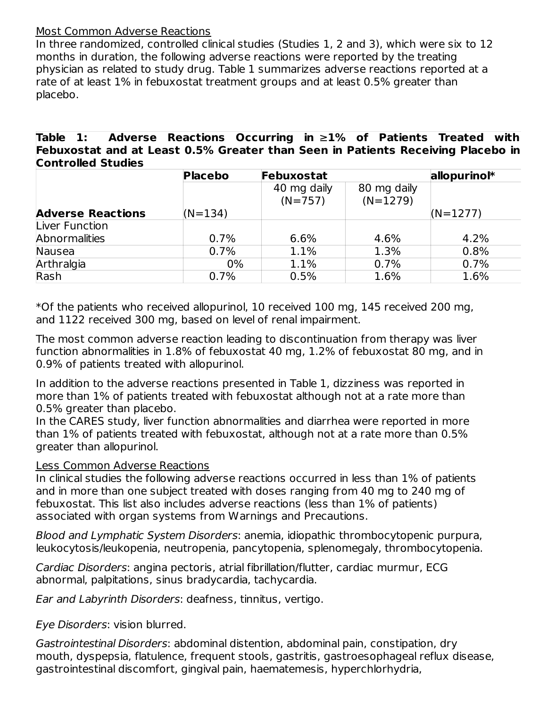#### Most Common Adverse Reactions

In three randomized, controlled clinical studies (Studies 1, 2 and 3), which were six to 12 months in duration, the following adverse reactions were reported by the treating physician as related to study drug. Table 1 summarizes adverse reactions reported at a rate of at least 1% in febuxostat treatment groups and at least 0.5% greater than placebo.

**Table 1: Adverse Reactions Occurring in** ≥**1% of Patients Treated with Febuxostat and at Least 0.5% Greater than Seen in Patients Receiving Placebo in Controlled Studies**

|                          | <b>Placebo</b> | Febuxostat               |                           | allopurinol* |
|--------------------------|----------------|--------------------------|---------------------------|--------------|
|                          |                | 40 mg daily<br>$(N=757)$ | 80 mg daily<br>$(N=1279)$ |              |
| <b>Adverse Reactions</b> | $(N=134)$      |                          |                           | $(N=1277)$   |
| Liver Function           |                |                          |                           |              |
| <b>Abnormalities</b>     | 0.7%           | 6.6%                     | 4.6%                      | 4.2%         |
| Nausea                   | 0.7%           | 1.1%                     | 1.3%                      | 0.8%         |
| Arthralgia               | $0\%$          | 1.1%                     | 0.7%                      | 0.7%         |
| Rash                     | 0.7%           | 0.5%                     | 1.6%                      | 1.6%         |

\*Of the patients who received allopurinol, 10 received 100 mg, 145 received 200 mg, and 1122 received 300 mg, based on level of renal impairment.

The most common adverse reaction leading to discontinuation from therapy was liver function abnormalities in 1.8% of febuxostat 40 mg, 1.2% of febuxostat 80 mg, and in 0.9% of patients treated with allopurinol.

In addition to the adverse reactions presented in Table 1, dizziness was reported in more than 1% of patients treated with febuxostat although not at a rate more than 0.5% greater than placebo.

In the CARES study, liver function abnormalities and diarrhea were reported in more than 1% of patients treated with febuxostat, although not at a rate more than 0.5% greater than allopurinol.

#### Less Common Adverse Reactions

In clinical studies the following adverse reactions occurred in less than 1% of patients and in more than one subject treated with doses ranging from 40 mg to 240 mg of febuxostat. This list also includes adverse reactions (less than 1% of patients) associated with organ systems from Warnings and Precautions.

Blood and Lymphatic System Disorders: anemia, idiopathic thrombocytopenic purpura, leukocytosis/leukopenia, neutropenia, pancytopenia, splenomegaly, thrombocytopenia.

Cardiac Disorders: angina pectoris, atrial fibrillation/flutter, cardiac murmur, ECG abnormal, palpitations, sinus bradycardia, tachycardia.

Ear and Labyrinth Disorders: deafness, tinnitus, vertigo.

Eye Disorders: vision blurred.

Gastrointestinal Disorders: abdominal distention, abdominal pain, constipation, dry mouth, dyspepsia, flatulence, frequent stools, gastritis, gastroesophageal reflux disease, gastrointestinal discomfort, gingival pain, haematemesis, hyperchlorhydria,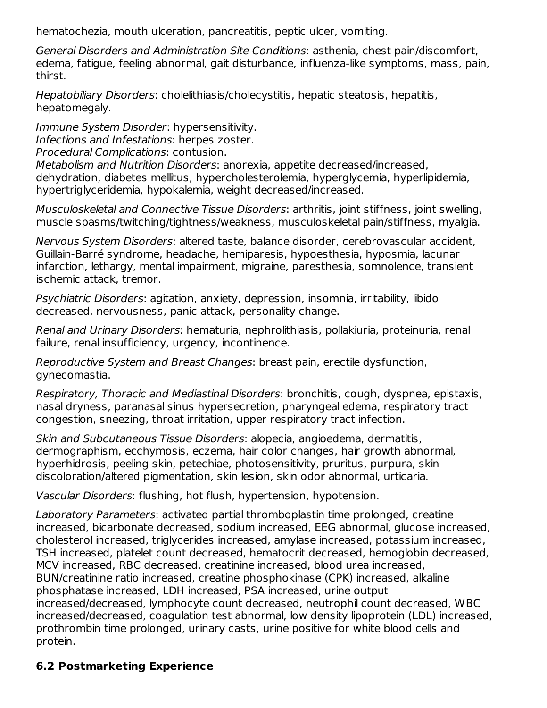hematochezia, mouth ulceration, pancreatitis, peptic ulcer, vomiting.

General Disorders and Administration Site Conditions: asthenia, chest pain/discomfort, edema, fatigue, feeling abnormal, gait disturbance, influenza-like symptoms, mass, pain, thirst.

Hepatobiliary Disorders: cholelithiasis/cholecystitis, hepatic steatosis, hepatitis, hepatomegaly.

Immune System Disorder: hypersensitivity. Infections and Infestations: herpes zoster. Procedural Complications: contusion. Metabolism and Nutrition Disorders: anorexia, appetite decreased/increased,

dehydration, diabetes mellitus, hypercholesterolemia, hyperglycemia, hyperlipidemia, hypertriglyceridemia, hypokalemia, weight decreased/increased.

Musculoskeletal and Connective Tissue Disorders: arthritis, joint stiffness, joint swelling, muscle spasms/twitching/tightness/weakness, musculoskeletal pain/stiffness, myalgia.

Nervous System Disorders: altered taste, balance disorder, cerebrovascular accident, Guillain-Barré syndrome, headache, hemiparesis, hypoesthesia, hyposmia, lacunar infarction, lethargy, mental impairment, migraine, paresthesia, somnolence, transient ischemic attack, tremor.

Psychiatric Disorders: agitation, anxiety, depression, insomnia, irritability, libido decreased, nervousness, panic attack, personality change.

Renal and Urinary Disorders: hematuria, nephrolithiasis, pollakiuria, proteinuria, renal failure, renal insufficiency, urgency, incontinence.

Reproductive System and Breast Changes: breast pain, erectile dysfunction, gynecomastia.

Respiratory, Thoracic and Mediastinal Disorders: bronchitis, cough, dyspnea, epistaxis, nasal dryness, paranasal sinus hypersecretion, pharyngeal edema, respiratory tract congestion, sneezing, throat irritation, upper respiratory tract infection.

Skin and Subcutaneous Tissue Disorders: alopecia, angioedema, dermatitis, dermographism, ecchymosis, eczema, hair color changes, hair growth abnormal, hyperhidrosis, peeling skin, petechiae, photosensitivity, pruritus, purpura, skin discoloration/altered pigmentation, skin lesion, skin odor abnormal, urticaria.

Vascular Disorders: flushing, hot flush, hypertension, hypotension.

Laboratory Parameters: activated partial thromboplastin time prolonged, creatine increased, bicarbonate decreased, sodium increased, EEG abnormal, glucose increased, cholesterol increased, triglycerides increased, amylase increased, potassium increased, TSH increased, platelet count decreased, hematocrit decreased, hemoglobin decreased, MCV increased, RBC decreased, creatinine increased, blood urea increased, BUN/creatinine ratio increased, creatine phosphokinase (CPK) increased, alkaline phosphatase increased, LDH increased, PSA increased, urine output increased/decreased, lymphocyte count decreased, neutrophil count decreased, WBC increased/decreased, coagulation test abnormal, low density lipoprotein (LDL) increased, prothrombin time prolonged, urinary casts, urine positive for white blood cells and protein.

# **6.2 Postmarketing Experience**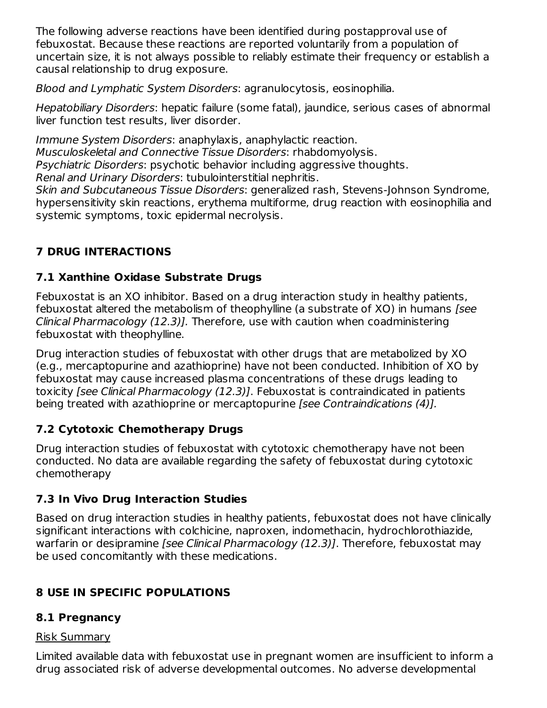The following adverse reactions have been identified during postapproval use of febuxostat. Because these reactions are reported voluntarily from a population of uncertain size, it is not always possible to reliably estimate their frequency or establish a causal relationship to drug exposure.

Blood and Lymphatic System Disorders: agranulocytosis, eosinophilia.

Hepatobiliary Disorders: hepatic failure (some fatal), jaundice, serious cases of abnormal liver function test results, liver disorder.

Immune System Disorders: anaphylaxis, anaphylactic reaction. Musculoskeletal and Connective Tissue Disorders: rhabdomyolysis. Psychiatric Disorders: psychotic behavior including aggressive thoughts. Renal and Urinary Disorders: tubulointerstitial nephritis.

Skin and Subcutaneous Tissue Disorders: generalized rash, Stevens-Johnson Syndrome, hypersensitivity skin reactions, erythema multiforme, drug reaction with eosinophilia and systemic symptoms, toxic epidermal necrolysis.

# **7 DRUG INTERACTIONS**

# **7.1 Xanthine Oxidase Substrate Drugs**

Febuxostat is an XO inhibitor. Based on a drug interaction study in healthy patients, febuxostat altered the metabolism of theophylline (a substrate of XO) in humans [see Clinical Pharmacology (12.3)]. Therefore, use with caution when coadministering febuxostat with theophylline.

Drug interaction studies of febuxostat with other drugs that are metabolized by XO (e.g., mercaptopurine and azathioprine) have not been conducted. Inhibition of XO by febuxostat may cause increased plasma concentrations of these drugs leading to toxicity [see Clinical Pharmacology (12.3)]. Febuxostat is contraindicated in patients being treated with azathioprine or mercaptopurine [see Contraindications (4)].

# **7.2 Cytotoxic Chemotherapy Drugs**

Drug interaction studies of febuxostat with cytotoxic chemotherapy have not been conducted. No data are available regarding the safety of febuxostat during cytotoxic chemotherapy

# **7.3 In Vivo Drug Interaction Studies**

Based on drug interaction studies in healthy patients, febuxostat does not have clinically significant interactions with colchicine, naproxen, indomethacin, hydrochlorothiazide, warfarin or desipramine [see Clinical Pharmacology (12.3)]. Therefore, febuxostat may be used concomitantly with these medications.

# **8 USE IN SPECIFIC POPULATIONS**

# **8.1 Pregnancy**

# Risk Summary

Limited available data with febuxostat use in pregnant women are insufficient to inform a drug associated risk of adverse developmental outcomes. No adverse developmental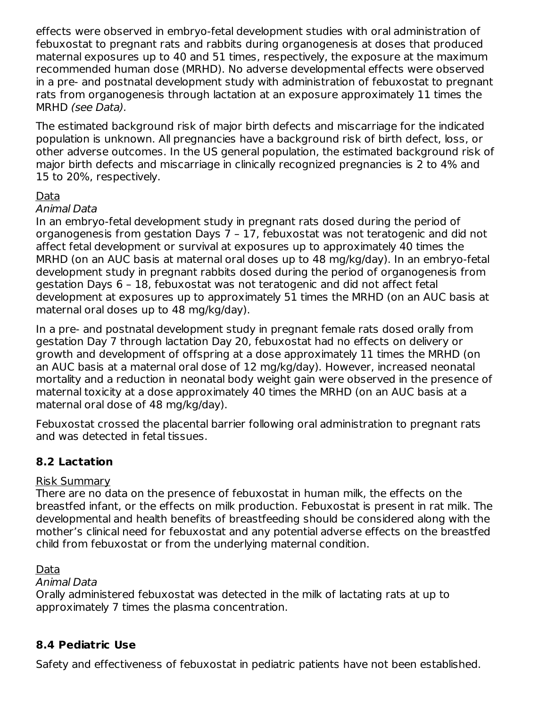effects were observed in embryo-fetal development studies with oral administration of febuxostat to pregnant rats and rabbits during organogenesis at doses that produced maternal exposures up to 40 and 51 times, respectively, the exposure at the maximum recommended human dose (MRHD). No adverse developmental effects were observed in a pre- and postnatal development study with administration of febuxostat to pregnant rats from organogenesis through lactation at an exposure approximately 11 times the MRHD (see Data).

The estimated background risk of major birth defects and miscarriage for the indicated population is unknown. All pregnancies have a background risk of birth defect, loss, or other adverse outcomes. In the US general population, the estimated background risk of major birth defects and miscarriage in clinically recognized pregnancies is 2 to 4% and 15 to 20%, respectively.

# Data

#### Animal Data

In an embryo-fetal development study in pregnant rats dosed during the period of organogenesis from gestation Days 7 – 17, febuxostat was not teratogenic and did not affect fetal development or survival at exposures up to approximately 40 times the MRHD (on an AUC basis at maternal oral doses up to 48 mg/kg/day). In an embryo-fetal development study in pregnant rabbits dosed during the period of organogenesis from gestation Days 6 – 18, febuxostat was not teratogenic and did not affect fetal development at exposures up to approximately 51 times the MRHD (on an AUC basis at maternal oral doses up to 48 mg/kg/day).

In a pre- and postnatal development study in pregnant female rats dosed orally from gestation Day 7 through lactation Day 20, febuxostat had no effects on delivery or growth and development of offspring at a dose approximately 11 times the MRHD (on an AUC basis at a maternal oral dose of 12 mg/kg/day). However, increased neonatal mortality and a reduction in neonatal body weight gain were observed in the presence of maternal toxicity at a dose approximately 40 times the MRHD (on an AUC basis at a maternal oral dose of 48 mg/kg/day).

Febuxostat crossed the placental barrier following oral administration to pregnant rats and was detected in fetal tissues.

### **8.2 Lactation**

#### Risk Summary

There are no data on the presence of febuxostat in human milk, the effects on the breastfed infant, or the effects on milk production. Febuxostat is present in rat milk. The developmental and health benefits of breastfeeding should be considered along with the mother's clinical need for febuxostat and any potential adverse effects on the breastfed child from febuxostat or from the underlying maternal condition.

#### Data

#### Animal Data

Orally administered febuxostat was detected in the milk of lactating rats at up to approximately 7 times the plasma concentration.

### **8.4 Pediatric Use**

Safety and effectiveness of febuxostat in pediatric patients have not been established.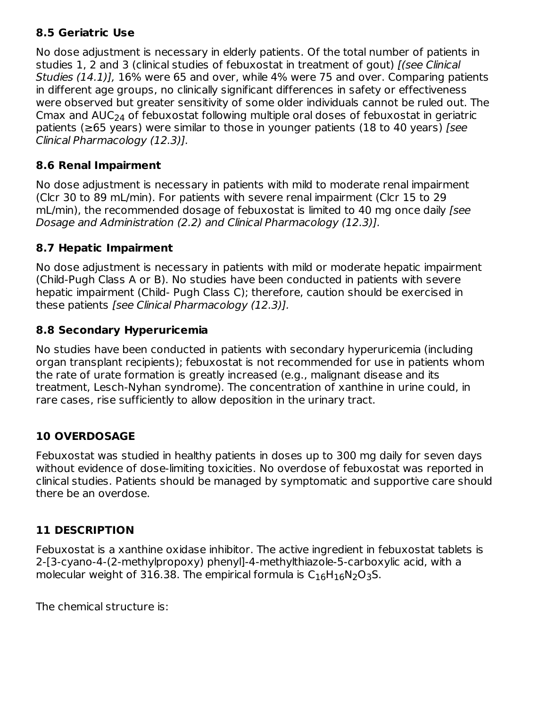# **8.5 Geriatric Use**

No dose adjustment is necessary in elderly patients. Of the total number of patients in studies 1, 2 and 3 (clinical studies of febuxostat in treatment of gout) *[(see Clinical* Studies (14.1)], 16% were 65 and over, while 4% were 75 and over. Comparing patients in different age groups, no clinically significant differences in safety or effectiveness were observed but greater sensitivity of some older individuals cannot be ruled out. The Cmax and  $\mathsf{AUC}_{24}$  of febuxostat following multiple oral doses of febuxostat in geriatric patients ( $\geq$ 65 years) were similar to those in younger patients (18 to 40 years) [see Clinical Pharmacology (12.3)].

# **8.6 Renal Impairment**

No dose adjustment is necessary in patients with mild to moderate renal impairment (Clcr 30 to 89 mL/min). For patients with severe renal impairment (Clcr 15 to 29 mL/min), the recommended dosage of febuxostat is limited to 40 mg once daily [see Dosage and Administration (2.2) and Clinical Pharmacology (12.3)].

# **8.7 Hepatic Impairment**

No dose adjustment is necessary in patients with mild or moderate hepatic impairment (Child-Pugh Class A or B). No studies have been conducted in patients with severe hepatic impairment (Child- Pugh Class C); therefore, caution should be exercised in these patients [see Clinical Pharmacology (12.3)].

# **8.8 Secondary Hyperuricemia**

No studies have been conducted in patients with secondary hyperuricemia (including organ transplant recipients); febuxostat is not recommended for use in patients whom the rate of urate formation is greatly increased (e.g., malignant disease and its treatment, Lesch-Nyhan syndrome). The concentration of xanthine in urine could, in rare cases, rise sufficiently to allow deposition in the urinary tract.

# **10 OVERDOSAGE**

Febuxostat was studied in healthy patients in doses up to 300 mg daily for seven days without evidence of dose-limiting toxicities. No overdose of febuxostat was reported in clinical studies. Patients should be managed by symptomatic and supportive care should there be an overdose.

# **11 DESCRIPTION**

Febuxostat is a xanthine oxidase inhibitor. The active ingredient in febuxostat tablets is 2-[3-cyano-4-(2-methylpropoxy) phenyl]-4-methylthiazole-5-carboxylic acid, with a molecular weight of 316.38. The empirical formula is  $C_{16}H_{16}N_2O_3S$ .

The chemical structure is: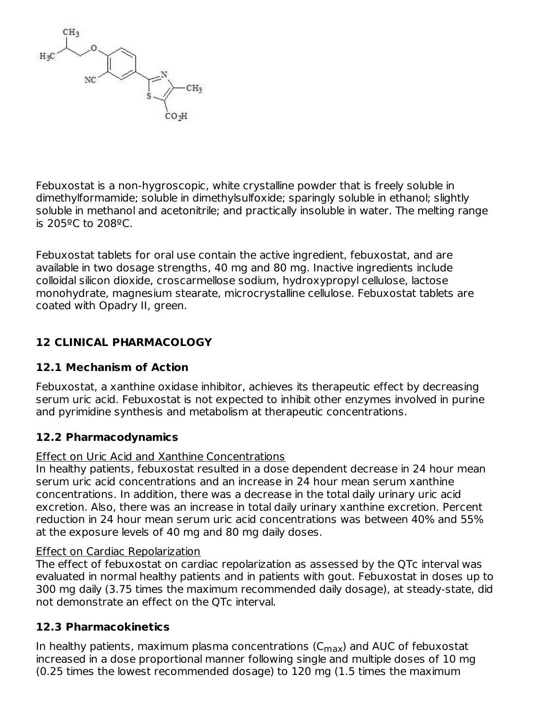

Febuxostat is a non-hygroscopic, white crystalline powder that is freely soluble in dimethylformamide; soluble in dimethylsulfoxide; sparingly soluble in ethanol; slightly soluble in methanol and acetonitrile; and practically insoluble in water. The melting range is 205ºC to 208ºC.

Febuxostat tablets for oral use contain the active ingredient, febuxostat, and are available in two dosage strengths, 40 mg and 80 mg. Inactive ingredients include colloidal silicon dioxide, croscarmellose sodium, hydroxypropyl cellulose, lactose monohydrate, magnesium stearate, microcrystalline cellulose. Febuxostat tablets are coated with Opadry II, green.

# **12 CLINICAL PHARMACOLOGY**

### **12.1 Mechanism of Action**

Febuxostat, a xanthine oxidase inhibitor, achieves its therapeutic effect by decreasing serum uric acid. Febuxostat is not expected to inhibit other enzymes involved in purine and pyrimidine synthesis and metabolism at therapeutic concentrations.

### **12.2 Pharmacodynamics**

### Effect on Uric Acid and Xanthine Concentrations

In healthy patients, febuxostat resulted in a dose dependent decrease in 24 hour mean serum uric acid concentrations and an increase in 24 hour mean serum xanthine concentrations. In addition, there was a decrease in the total daily urinary uric acid excretion. Also, there was an increase in total daily urinary xanthine excretion. Percent reduction in 24 hour mean serum uric acid concentrations was between 40% and 55% at the exposure levels of 40 mg and 80 mg daily doses.

### Effect on Cardiac Repolarization

The effect of febuxostat on cardiac repolarization as assessed by the QTc interval was evaluated in normal healthy patients and in patients with gout. Febuxostat in doses up to 300 mg daily (3.75 times the maximum recommended daily dosage), at steady-state, did not demonstrate an effect on the QTc interval.

### **12.3 Pharmacokinetics**

In healthy patients, maximum plasma concentrations ( $\rm C_{max}$ ) and AUC of febuxostat increased in a dose proportional manner following single and multiple doses of 10 mg (0.25 times the lowest recommended dosage) to 120 mg (1.5 times the maximum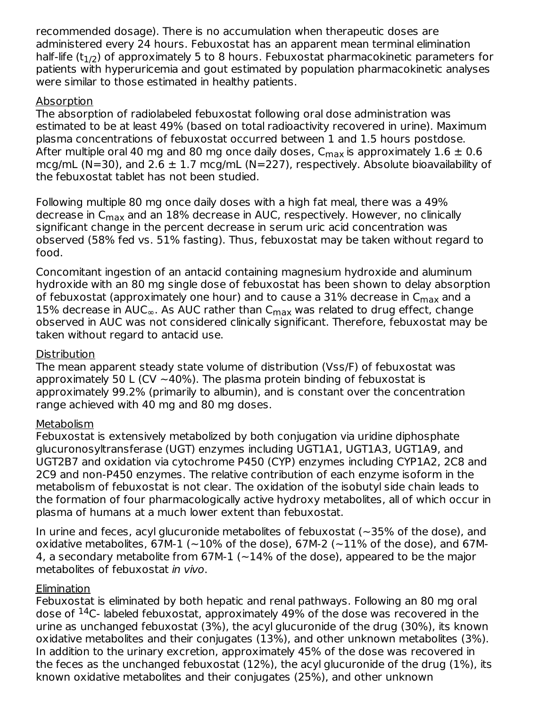recommended dosage). There is no accumulation when therapeutic doses are administered every 24 hours. Febuxostat has an apparent mean terminal elimination half-life (t $_{\rm 1/2}$ ) of approximately 5 to 8 hours. Febuxostat pharmacokinetic parameters for patients with hyperuricemia and gout estimated by population pharmacokinetic analyses were similar to those estimated in healthy patients.

### Absorption

The absorption of radiolabeled febuxostat following oral dose administration was estimated to be at least 49% (based on total radioactivity recovered in urine). Maximum plasma concentrations of febuxostat occurred between 1 and 1.5 hours postdose. After multiple oral 40 mg and 80 mg once daily doses, C<sub>max</sub> is approximately  $1.6 \pm 0.6$ mcg/mL (N=30), and 2.6  $\pm$  1.7 mcg/mL (N=227), respectively. Absolute bioavailability of the febuxostat tablet has not been studied.

Following multiple 80 mg once daily doses with a high fat meal, there was a 49% decrease in C<sub>max</sub> and an 18% decrease in AUC, respectively. However, no clinically significant change in the percent decrease in serum uric acid concentration was observed (58% fed vs. 51% fasting). Thus, febuxostat may be taken without regard to food.

Concomitant ingestion of an antacid containing magnesium hydroxide and aluminum hydroxide with an 80 mg single dose of febuxostat has been shown to delay absorption of febuxostat (approximately one hour) and to cause a 31% decrease in  $\mathsf{C}_{\mathsf{max}}$  and a 15% decrease in AUC $_{\infty}$ . As AUC rather than C $_{\sf max}$  was related to drug effect, change observed in AUC was not considered clinically significant. Therefore, febuxostat may be taken without regard to antacid use.

#### Distribution

The mean apparent steady state volume of distribution (Vss/F) of febuxostat was approximately 50 L (CV  $\sim$  40%). The plasma protein binding of febuxostat is approximately 99.2% (primarily to albumin), and is constant over the concentration range achieved with 40 mg and 80 mg doses.

### Metabolism

Febuxostat is extensively metabolized by both conjugation via uridine diphosphate glucuronosyltransferase (UGT) enzymes including UGT1A1, UGT1A3, UGT1A9, and UGT2B7 and oxidation via cytochrome P450 (CYP) enzymes including CYP1A2, 2C8 and 2C9 and non-P450 enzymes. The relative contribution of each enzyme isoform in the metabolism of febuxostat is not clear. The oxidation of the isobutyl side chain leads to the formation of four pharmacologically active hydroxy metabolites, all of which occur in plasma of humans at a much lower extent than febuxostat.

In urine and feces, acyl glucuronide metabolites of febuxostat (~35% of the dose), and oxidative metabolites, 67M-1 ( $\sim$ 10% of the dose), 67M-2 ( $\sim$ 11% of the dose), and 67M-4, a secondary metabolite from 67M-1 (~14% of the dose), appeared to be the major metabolites of febuxostat in vivo.

#### **Elimination**

Febuxostat is eliminated by both hepatic and renal pathways. Following an 80 mg oral dose of  $14C$ - labeled febuxostat, approximately 49% of the dose was recovered in the urine as unchanged febuxostat (3%), the acyl glucuronide of the drug (30%), its known oxidative metabolites and their conjugates (13%), and other unknown metabolites (3%). In addition to the urinary excretion, approximately 45% of the dose was recovered in the feces as the unchanged febuxostat (12%), the acyl glucuronide of the drug (1%), its known oxidative metabolites and their conjugates (25%), and other unknown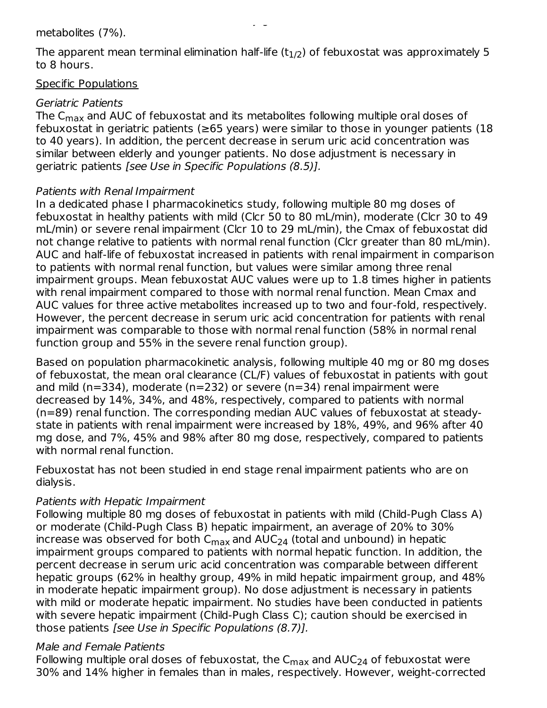#### metabolites (7%).

The apparent mean terminal elimination half-life (t $_{\rm 1/2}$ ) of febuxostat was approximately 5 to 8 hours.

#### Specific Populations

#### Geriatric Patients

The C $_{\sf max}$  and AUC of febuxostat and its metabolites following multiple oral doses of febuxostat in geriatric patients ( $\geq$ 65 years) were similar to those in younger patients (18 to 40 years). In addition, the percent decrease in serum uric acid concentration was similar between elderly and younger patients. No dose adjustment is necessary in geriatric patients [see Use in Specific Populations (8.5)].

#### Patients with Renal Impairment

In a dedicated phase I pharmacokinetics study, following multiple 80 mg doses of febuxostat in healthy patients with mild (Clcr 50 to 80 mL/min), moderate (Clcr 30 to 49 mL/min) or severe renal impairment (Clcr 10 to 29 mL/min), the Cmax of febuxostat did not change relative to patients with normal renal function (Clcr greater than 80 mL/min). AUC and half-life of febuxostat increased in patients with renal impairment in comparison to patients with normal renal function, but values were similar among three renal impairment groups. Mean febuxostat AUC values were up to 1.8 times higher in patients with renal impairment compared to those with normal renal function. Mean Cmax and AUC values for three active metabolites increased up to two and four-fold, respectively. However, the percent decrease in serum uric acid concentration for patients with renal impairment was comparable to those with normal renal function (58% in normal renal function group and 55% in the severe renal function group).

Based on population pharmacokinetic analysis, following multiple 40 mg or 80 mg doses of febuxostat, the mean oral clearance (CL/F) values of febuxostat in patients with gout and mild (n=334), moderate (n=232) or severe (n=34) renal impairment were decreased by 14%, 34%, and 48%, respectively, compared to patients with normal (n=89) renal function. The corresponding median AUC values of febuxostat at steadystate in patients with renal impairment were increased by 18%, 49%, and 96% after 40 mg dose, and 7%, 45% and 98% after 80 mg dose, respectively, compared to patients with normal renal function.

Febuxostat has not been studied in end stage renal impairment patients who are on dialysis.

#### Patients with Hepatic Impairment

Following multiple 80 mg doses of febuxostat in patients with mild (Child-Pugh Class A) or moderate (Child-Pugh Class B) hepatic impairment, an average of 20% to 30% increase was observed for both  $\mathsf{C}_{\mathsf{max}}$  and AUC $_{24}$  (total and unbound) in hepatic impairment groups compared to patients with normal hepatic function. In addition, the percent decrease in serum uric acid concentration was comparable between different hepatic groups (62% in healthy group, 49% in mild hepatic impairment group, and 48% in moderate hepatic impairment group). No dose adjustment is necessary in patients with mild or moderate hepatic impairment. No studies have been conducted in patients with severe hepatic impairment (Child-Pugh Class C); caution should be exercised in those patients [see Use in Specific Populations (8.7)].

#### Male and Female Patients

Following multiple oral doses of febuxostat, the  $\mathsf{C}_{\mathsf{max}}$  and  $\mathsf{AUC}_{24}$  of febuxostat were 30% and 14% higher in females than in males, respectively. However, weight-corrected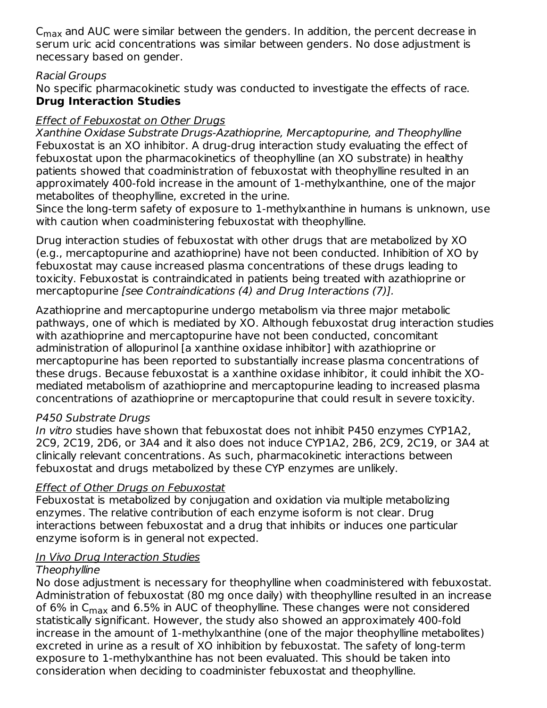$\mathsf{C}_{\mathsf{max}}$  and AUC were similar between the genders. In addition, the percent decrease in serum uric acid concentrations was similar between genders. No dose adjustment is necessary based on gender.

#### Racial Groups

No specific pharmacokinetic study was conducted to investigate the effects of race. **Drug Interaction Studies**

### Effect of Febuxostat on Other Drugs

Xanthine Oxidase Substrate Drugs-Azathioprine, Mercaptopurine, and Theophylline Febuxostat is an XO inhibitor. A drug-drug interaction study evaluating the effect of febuxostat upon the pharmacokinetics of theophylline (an XO substrate) in healthy patients showed that coadministration of febuxostat with theophylline resulted in an approximately 400-fold increase in the amount of 1-methylxanthine, one of the major metabolites of theophylline, excreted in the urine.

Since the long-term safety of exposure to 1-methylxanthine in humans is unknown, use with caution when coadministering febuxostat with theophylline.

Drug interaction studies of febuxostat with other drugs that are metabolized by XO (e.g., mercaptopurine and azathioprine) have not been conducted. Inhibition of XO by febuxostat may cause increased plasma concentrations of these drugs leading to toxicity. Febuxostat is contraindicated in patients being treated with azathioprine or mercaptopurine [see Contraindications (4) and Drug Interactions (7)].

Azathioprine and mercaptopurine undergo metabolism via three major metabolic pathways, one of which is mediated by XO. Although febuxostat drug interaction studies with azathioprine and mercaptopurine have not been conducted, concomitant administration of allopurinol [a xanthine oxidase inhibitor] with azathioprine or mercaptopurine has been reported to substantially increase plasma concentrations of these drugs. Because febuxostat is a xanthine oxidase inhibitor, it could inhibit the XOmediated metabolism of azathioprine and mercaptopurine leading to increased plasma concentrations of azathioprine or mercaptopurine that could result in severe toxicity.

### P450 Substrate Drugs

In vitro studies have shown that febuxostat does not inhibit P450 enzymes CYP1A2, 2C9, 2C19, 2D6, or 3A4 and it also does not induce CYP1A2, 2B6, 2C9, 2C19, or 3A4 at clinically relevant concentrations. As such, pharmacokinetic interactions between febuxostat and drugs metabolized by these CYP enzymes are unlikely.

### Effect of Other Drugs on Febuxostat

Febuxostat is metabolized by conjugation and oxidation via multiple metabolizing enzymes. The relative contribution of each enzyme isoform is not clear. Drug interactions between febuxostat and a drug that inhibits or induces one particular enzyme isoform is in general not expected.

### In Vivo Drug Interaction Studies

### **Theophylline**

No dose adjustment is necessary for theophylline when coadministered with febuxostat. Administration of febuxostat (80 mg once daily) with theophylline resulted in an increase of 6% in C<sub>max</sub> and 6.5% in AUC of theophylline. These changes were not considered statistically significant. However, the study also showed an approximately 400-fold increase in the amount of 1-methylxanthine (one of the major theophylline metabolites) excreted in urine as a result of XO inhibition by febuxostat. The safety of long-term exposure to 1-methylxanthine has not been evaluated. This should be taken into consideration when deciding to coadminister febuxostat and theophylline.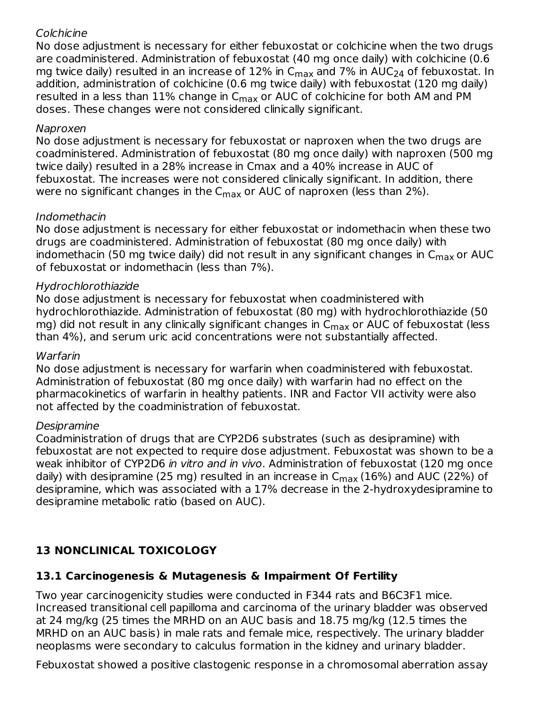#### **Colchicine**

No dose adjustment is necessary for either febuxostat or colchicine when the two drugs are coadministered. Administration of febuxostat (40 mg once daily) with colchicine (0.6 mg twice daily) resulted in an increase of 12% in C $_{\sf max}$  and 7% in AUC $_{24}$  of febuxostat. In addition, administration of colchicine (0.6 mg twice daily) with febuxostat (120 mg daily) resulted in a less than 11% change in C<sub>max</sub> or AUC of colchicine for both AM and PM doses. These changes were not considered clinically significant.

#### Naproxen

No dose adjustment is necessary for febuxostat or naproxen when the two drugs are coadministered. Administration of febuxostat (80 mg once daily) with naproxen (500 mg twice daily) resulted in a 28% increase in Cmax and a 40% increase in AUC of febuxostat. The increases were not considered clinically significant. In addition, there were no significant changes in the C $_{\sf max}$  or AUC of naproxen (less than 2%).

### Indomethacin

No dose adjustment is necessary for either febuxostat or indomethacin when these two drugs are coadministered. Administration of febuxostat (80 mg once daily) with indomethacin (50 mg twice daily) did not result in any significant changes in C<sub>max</sub> or AUC of febuxostat or indomethacin (less than 7%).

### Hydrochlorothiazide

No dose adjustment is necessary for febuxostat when coadministered with hydrochlorothiazide. Administration of febuxostat (80 mg) with hydrochlorothiazide (50 mg) did not result in any clinically significant changes in  $\mathsf{C}_{\mathsf{max}}$  or AUC of febuxostat (less than 4%), and serum uric acid concentrations were not substantially affected.

#### Warfarin

No dose adjustment is necessary for warfarin when coadministered with febuxostat. Administration of febuxostat (80 mg once daily) with warfarin had no effect on the pharmacokinetics of warfarin in healthy patients. INR and Factor VII activity were also not affected by the coadministration of febuxostat.

### Desipramine

Coadministration of drugs that are CYP2D6 substrates (such as desipramine) with febuxostat are not expected to require dose adjustment. Febuxostat was shown to be a weak inhibitor of CYP2D6 in vitro and in vivo. Administration of febuxostat (120 mg once daily) with desipramine (25 mg) resulted in an increase in C<sub>max</sub> (16%) and AUC (22%) of desipramine, which was associated with a 17% decrease in the 2-hydroxydesipramine to desipramine metabolic ratio (based on AUC).

# **13 NONCLINICAL TOXICOLOGY**

### **13.1 Carcinogenesis & Mutagenesis & Impairment Of Fertility**

Two year carcinogenicity studies were conducted in F344 rats and B6C3F1 mice. Increased transitional cell papilloma and carcinoma of the urinary bladder was observed at 24 mg/kg (25 times the MRHD on an AUC basis and 18.75 mg/kg (12.5 times the MRHD on an AUC basis) in male rats and female mice, respectively. The urinary bladder neoplasms were secondary to calculus formation in the kidney and urinary bladder.

Febuxostat showed a positive clastogenic response in a chromosomal aberration assay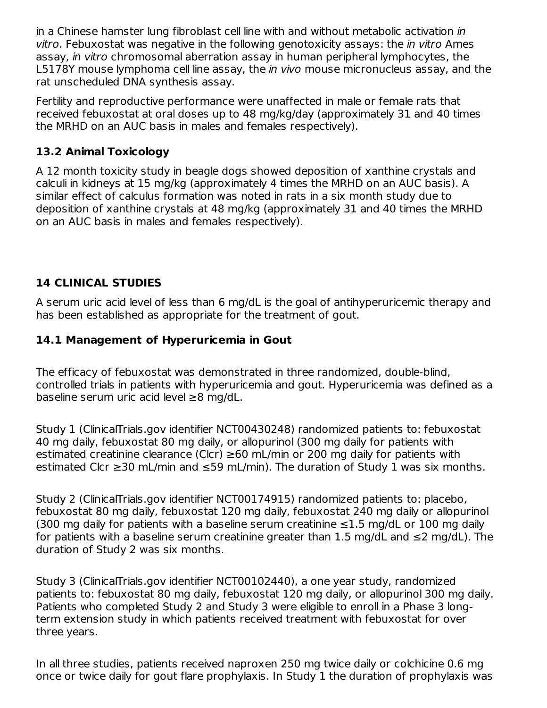in a Chinese hamster lung fibroblast cell line with and without metabolic activation in vitro. Febuxostat was negative in the following genotoxicity assays: the in vitro Ames assay, in vitro chromosomal aberration assay in human peripheral lymphocytes, the L5178Y mouse lymphoma cell line assay, the *in vivo* mouse micronucleus assay, and the rat unscheduled DNA synthesis assay.

Fertility and reproductive performance were unaffected in male or female rats that received febuxostat at oral doses up to 48 mg/kg/day (approximately 31 and 40 times the MRHD on an AUC basis in males and females respectively).

# **13.2 Animal Toxicology**

A 12 month toxicity study in beagle dogs showed deposition of xanthine crystals and calculi in kidneys at 15 mg/kg (approximately 4 times the MRHD on an AUC basis). A similar effect of calculus formation was noted in rats in a six month study due to deposition of xanthine crystals at 48 mg/kg (approximately 31 and 40 times the MRHD on an AUC basis in males and females respectively).

### **14 CLINICAL STUDIES**

A serum uric acid level of less than 6 mg/dL is the goal of antihyperuricemic therapy and has been established as appropriate for the treatment of gout.

### **14.1 Management of Hyperuricemia in Gout**

The efficacy of febuxostat was demonstrated in three randomized, double-blind, controlled trials in patients with hyperuricemia and gout. Hyperuricemia was defined as a baseline serum uric acid level ≥8 mg/dL.

Study 1 (ClinicalTrials.gov identifier NCT00430248) randomized patients to: febuxostat 40 mg daily, febuxostat 80 mg daily, or allopurinol (300 mg daily for patients with estimated creatinine clearance (Clcr)  $\geq 60$  mL/min or 200 mg daily for patients with estimated Clcr ≥30 mL/min and ≤59 mL/min). The duration of Study 1 was six months.

Study 2 (ClinicalTrials.gov identifier NCT00174915) randomized patients to: placebo, febuxostat 80 mg daily, febuxostat 120 mg daily, febuxostat 240 mg daily or allopurinol (300 mg daily for patients with a baseline serum creatinine  $\leq$ 1.5 mg/dL or 100 mg daily for patients with a baseline serum creatinine greater than 1.5 mg/dL and  $\leq 2$  mg/dL). The duration of Study 2 was six months.

Study 3 (ClinicalTrials.gov identifier NCT00102440), a one year study, randomized patients to: febuxostat 80 mg daily, febuxostat 120 mg daily, or allopurinol 300 mg daily. Patients who completed Study 2 and Study 3 were eligible to enroll in a Phase 3 longterm extension study in which patients received treatment with febuxostat for over three years.

In all three studies, patients received naproxen 250 mg twice daily or colchicine 0.6 mg once or twice daily for gout flare prophylaxis. In Study 1 the duration of prophylaxis was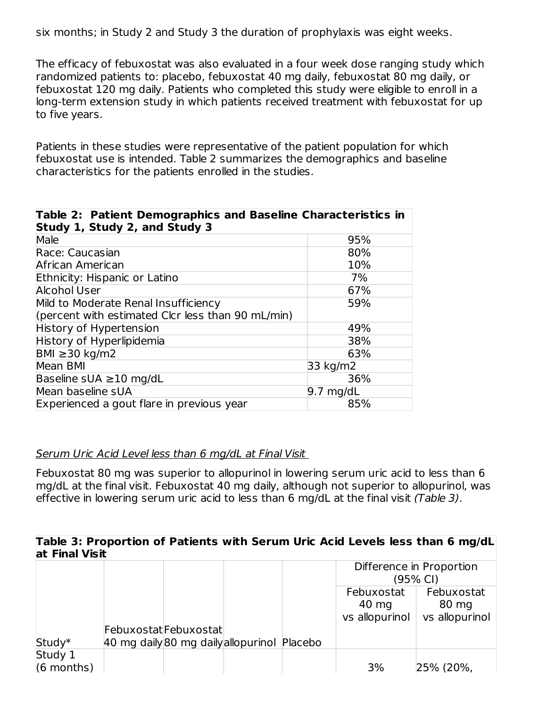six months; in Study 2 and Study 3 the duration of prophylaxis was eight weeks.

The efficacy of febuxostat was also evaluated in a four week dose ranging study which randomized patients to: placebo, febuxostat 40 mg daily, febuxostat 80 mg daily, or febuxostat 120 mg daily. Patients who completed this study were eligible to enroll in a long-term extension study in which patients received treatment with febuxostat for up to five years.

Patients in these studies were representative of the patient population for which febuxostat use is intended. Table 2 summarizes the demographics and baseline characteristics for the patients enrolled in the studies.

| Table 2: Patient Demographics and Baseline Characteristics in |                     |  |  |  |
|---------------------------------------------------------------|---------------------|--|--|--|
| Study 1, Study 2, and Study 3                                 |                     |  |  |  |
| Male                                                          | 95%                 |  |  |  |
| Race: Caucasian                                               | 80%                 |  |  |  |
| African American                                              | 10%                 |  |  |  |
| Ethnicity: Hispanic or Latino                                 | 7%                  |  |  |  |
| <b>Alcohol User</b>                                           | 67%                 |  |  |  |
| Mild to Moderate Renal Insufficiency                          | 59%                 |  |  |  |
| (percent with estimated Clcr less than 90 mL/min)             |                     |  |  |  |
| History of Hypertension                                       | 49%                 |  |  |  |
| History of Hyperlipidemia                                     | 38%                 |  |  |  |
| BMI ≥ 30 kg/m2                                                | 63%                 |  |  |  |
| Mean BMI                                                      | 33 kg/m2            |  |  |  |
| Baseline sUA $\geq$ 10 mg/dL                                  | 36%                 |  |  |  |
| Mean baseline sUA                                             | $9.7 \text{ mg/dL}$ |  |  |  |
| Experienced a gout flare in previous year                     | 85%                 |  |  |  |

#### Serum Uric Acid Level less than 6 mg/dL at Final Visit

Febuxostat 80 mg was superior to allopurinol in lowering serum uric acid to less than 6 mg/dL at the final visit. Febuxostat 40 mg daily, although not superior to allopurinol, was effective in lowering serum uric acid to less than 6 mg/dL at the final visit (Table 3).

#### **Table 3: Proportion of Patients with Serum Uric Acid Levels less than 6 mg/dL at Final Visit**

|              |                                             |  | Difference in Proportion |                |  |
|--------------|---------------------------------------------|--|--------------------------|----------------|--|
|              |                                             |  | (95% CI)                 |                |  |
|              |                                             |  | Febuxostat<br>Febuxostat |                |  |
|              |                                             |  | 40 mg                    | 80 mg          |  |
|              |                                             |  | vs allopurinol           | vs allopurinol |  |
|              | FebuxostatFebuxostat                        |  |                          |                |  |
| Study*       | 40 mg daily 80 mg daily allopurinol Placebo |  |                          |                |  |
| Study 1      |                                             |  |                          |                |  |
| $(6$ months) |                                             |  | 3%                       | 25% (20%,      |  |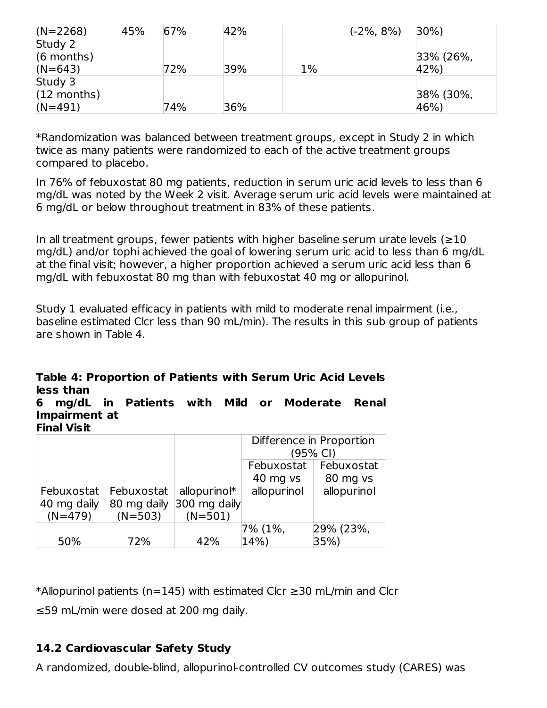| $(N=2268)$    | 45% | 67% | 42% |       | $(-2\%, 8\%)$ | $30\%$       |
|---------------|-----|-----|-----|-------|---------------|--------------|
| Study 2       |     |     |     |       |               |              |
| $(6$ months)  |     |     |     |       |               | $33\%$ (26%, |
| $(N=643)$     |     | 72% | 39% | $1\%$ |               | 42%          |
| Study 3       |     |     |     |       |               |              |
| $(12$ months) |     |     |     |       |               | 38% (30%,    |
| $(N=491)$     |     | 74% | 36% |       |               | 46%)         |

\*Randomization was balanced between treatment groups, except in Study 2 in which twice as many patients were randomized to each of the active treatment groups compared to placebo.

In 76% of febuxostat 80 mg patients, reduction in serum uric acid levels to less than 6 mg/dL was noted by the Week 2 visit. Average serum uric acid levels were maintained at 6 mg/dL or below throughout treatment in 83% of these patients.

In all treatment groups, fewer patients with higher baseline serum urate levels  $(\geq 10$ mg/dL) and/or tophi achieved the goal of lowering serum uric acid to less than 6 mg/dL at the final visit; however, a higher proportion achieved a serum uric acid less than 6 mg/dL with febuxostat 80 mg than with febuxostat 40 mg or allopurinol.

Study 1 evaluated efficacy in patients with mild to moderate renal impairment (i.e., baseline estimated Clcr less than 90 mL/min). The results in this sub group of patients are shown in Table 4.

| less than                                         |                  |                         | Mild or     | Table 4: Proportion of Patients with Serum Uric Acid Levels<br><b>Moderate</b><br>Renal |
|---------------------------------------------------|------------------|-------------------------|-------------|-----------------------------------------------------------------------------------------|
| mg/dL<br>6<br>Impairment at<br><b>Final Visit</b> | in Patients with |                         |             |                                                                                         |
|                                                   |                  |                         |             | Difference in Proportion                                                                |
|                                                   |                  |                         |             | (95% CI)                                                                                |
|                                                   |                  |                         | Febuxostat  | Febuxostat                                                                              |
|                                                   |                  |                         | 40 mg vs    | 80 mg vs                                                                                |
| Febuxostat                                        | Febuxostat       | allopurino <sup>*</sup> | allopurinol | allopurinol                                                                             |
| 40 mg daily                                       | 80 mg daily      | 300 mg daily            |             |                                                                                         |
| $(N=479)$                                         | $(N=503)$        | $(N=501)$               |             |                                                                                         |
|                                                   |                  |                         | 7% (1%,     | 29% (23%,                                                                               |
| 50%                                               | 72%              | 42%                     | 14%)        | 35%)                                                                                    |

\*Allopurinol patients (n=145) with estimated Clcr ≥30 mL/min and Clcr ≤59 mL/min were dosed at 200 mg daily.

# **14.2 Cardiovascular Safety Study**

A randomized, double-blind, allopurinol-controlled CV outcomes study (CARES) was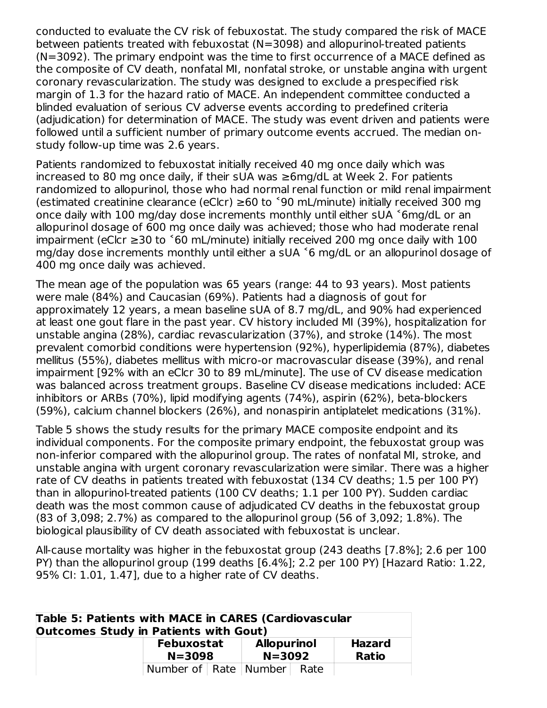conducted to evaluate the CV risk of febuxostat. The study compared the risk of MACE between patients treated with febuxostat (N=3098) and allopurinol-treated patients (N=3092). The primary endpoint was the time to first occurrence of a MACE defined as the composite of CV death, nonfatal MI, nonfatal stroke, or unstable angina with urgent coronary revascularization. The study was designed to exclude a prespecified risk margin of 1.3 for the hazard ratio of MACE. An independent committee conducted a blinded evaluation of serious CV adverse events according to predefined criteria (adjudication) for determination of MACE. The study was event driven and patients were followed until a sufficient number of primary outcome events accrued. The median onstudy follow-up time was 2.6 years.

Patients randomized to febuxostat initially received 40 mg once daily which was increased to 80 mg once daily, if their sUA was ≥6mg/dL at Week 2. For patients randomized to allopurinol, those who had normal renal function or mild renal impairment (estimated creatinine clearance (eClcr) ≥60 to ˂90 mL/minute) initially received 300 mg once daily with 100 mg/day dose increments monthly until either sUA ˂6mg/dL or an allopurinol dosage of 600 mg once daily was achieved; those who had moderate renal impairment (eClcr  $≥30$  to  $<sup>5</sup>60$  mL/minute) initially received 200 mg once daily with 100</sup> mg/day dose increments monthly until either a sUA ˂6 mg/dL or an allopurinol dosage of 400 mg once daily was achieved.

The mean age of the population was 65 years (range: 44 to 93 years). Most patients were male (84%) and Caucasian (69%). Patients had a diagnosis of gout for approximately 12 years, a mean baseline sUA of 8.7 mg/dL, and 90% had experienced at least one gout flare in the past year. CV history included MI (39%), hospitalization for unstable angina (28%), cardiac revascularization (37%), and stroke (14%). The most prevalent comorbid conditions were hypertension (92%), hyperlipidemia (87%), diabetes mellitus (55%), diabetes mellitus with micro-or macrovascular disease (39%), and renal impairment [92% with an eClcr 30 to 89 mL/minute]. The use of CV disease medication was balanced across treatment groups. Baseline CV disease medications included: ACE inhibitors or ARBs (70%), lipid modifying agents (74%), aspirin (62%), beta-blockers (59%), calcium channel blockers (26%), and nonaspirin antiplatelet medications (31%).

Table 5 shows the study results for the primary MACE composite endpoint and its individual components. For the composite primary endpoint, the febuxostat group was non-inferior compared with the allopurinol group. The rates of nonfatal MI, stroke, and unstable angina with urgent coronary revascularization were similar. There was a higher rate of CV deaths in patients treated with febuxostat (134 CV deaths; 1.5 per 100 PY) than in allopurinol-treated patients (100 CV deaths; 1.1 per 100 PY). Sudden cardiac death was the most common cause of adjudicated CV deaths in the febuxostat group (83 of 3,098; 2.7%) as compared to the allopurinol group (56 of 3,092; 1.8%). The biological plausibility of CV death associated with febuxostat is unclear.

All-cause mortality was higher in the febuxostat group (243 deaths [7.8%]; 2.6 per 100 PY) than the allopurinol group (199 deaths [6.4%]; 2.2 per 100 PY) [Hazard Ratio: 1.22, 95% CI: 1.01, 1.47], due to a higher rate of CV deaths.

| Table 5: Patients with MACE in CARES (Cardiovascular<br>Outcomes Study in Patients with Gout) |                                  |                                                              |  |  |                               |
|-----------------------------------------------------------------------------------------------|----------------------------------|--------------------------------------------------------------|--|--|-------------------------------|
|                                                                                               |                                  | <b>Allopurinol</b><br>Febuxostat<br>$N = 3092$<br>$N = 3098$ |  |  | <b>Hazard</b><br><b>Ratio</b> |
|                                                                                               | Number of   Rate   Number   Rate |                                                              |  |  |                               |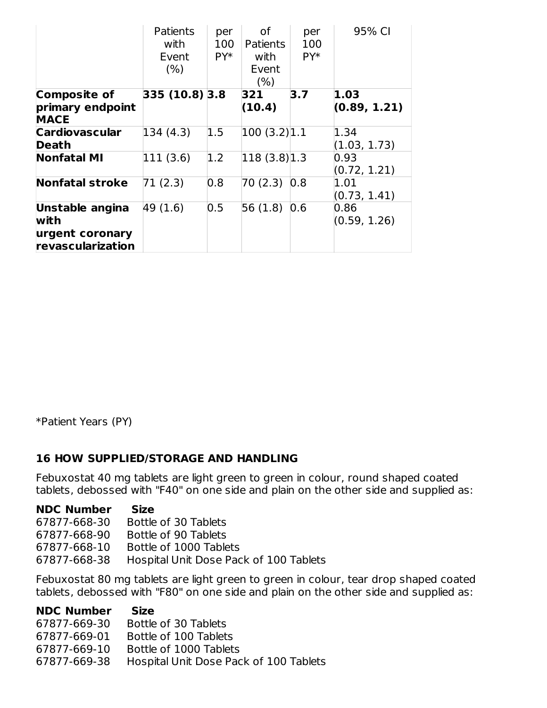|                                                                 | <b>Patients</b><br>with<br>Event<br>(% ) | per<br>100<br>PY* | οf<br><b>Patients</b><br>with<br>Event<br>(%) | per<br>100<br>PY* | 95% CI               |
|-----------------------------------------------------------------|------------------------------------------|-------------------|-----------------------------------------------|-------------------|----------------------|
| <b>Composite of</b>                                             | 335 (10.8) 3.8                           |                   | 321                                           | 3.7               | 1.03                 |
| primary endpoint<br><b>MACE</b>                                 |                                          |                   | (10.4)                                        |                   | (0.89, 1.21)         |
| <b>Cardiovascular</b><br>Death                                  | 134 (4.3)                                | 1.5               | 100(3.2) 1.1                                  |                   | 1.34<br>(1.03, 1.73) |
| <b>Nonfatal MI</b>                                              | 111 (3.6)                                | 1.2               | 118(3.8) 1.3                                  |                   | 0.93<br>(0.72, 1.21) |
| <b>Nonfatal stroke</b>                                          | 71 (2.3)                                 | 0.8               | 70(2.3)                                       | 0.8               | 1.01<br>(0.73, 1.41) |
| Unstable angina<br>with<br>urgent coronary<br>revascularization | 49 (1.6)                                 | 0.5               | 56(1.8)                                       | 0.6               | 0.86<br>(0.59, 1.26) |

\*Patient Years (PY)

#### **16 HOW SUPPLIED/STORAGE AND HANDLING**

Febuxostat 40 mg tablets are light green to green in colour, round shaped coated tablets, debossed with "F40" on one side and plain on the other side and supplied as:

#### **NDC Number Size**

- 67877-668-30 Bottle of 30 Tablets
- 67877-668-90 Bottle of 90 Tablets
- 67877-668-10 Bottle of 1000 Tablets
- 67877-668-38 Hospital Unit Dose Pack of 100 Tablets

Febuxostat 80 mg tablets are light green to green in colour, tear drop shaped coated tablets, debossed with "F80" on one side and plain on the other side and supplied as:

| <b>NDC Number</b> | <b>Size</b>                            |
|-------------------|----------------------------------------|
| 67877-669-30      | Bottle of 30 Tablets                   |
| 67877-669-01      | Bottle of 100 Tablets                  |
| 67877-669-10      | Bottle of 1000 Tablets                 |
| 67877-669-38      | Hospital Unit Dose Pack of 100 Tablets |
|                   |                                        |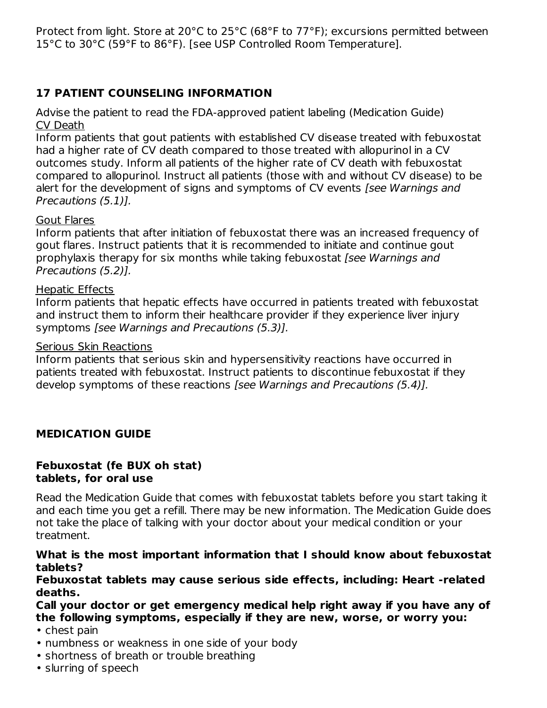Protect from light. Store at 20°C to 25°C (68°F to 77°F); excursions permitted between 15°C to 30°C (59°F to 86°F). [see USP Controlled Room Temperature].

# **17 PATIENT COUNSELING INFORMATION**

Advise the patient to read the FDA-approved patient labeling (Medication Guide) CV Death

Inform patients that gout patients with established CV disease treated with febuxostat had a higher rate of CV death compared to those treated with allopurinol in a CV outcomes study. Inform all patients of the higher rate of CV death with febuxostat compared to allopurinol. Instruct all patients (those with and without CV disease) to be alert for the development of signs and symptoms of CV events *[see Warnings and* Precautions (5.1)].

#### Gout Flares

Inform patients that after initiation of febuxostat there was an increased frequency of gout flares. Instruct patients that it is recommended to initiate and continue gout prophylaxis therapy for six months while taking febuxostat [see Warnings and Precautions (5.2)].

#### Hepatic Effects

Inform patients that hepatic effects have occurred in patients treated with febuxostat and instruct them to inform their healthcare provider if they experience liver injury symptoms [see Warnings and Precautions (5.3)].

#### Serious Skin Reactions

Inform patients that serious skin and hypersensitivity reactions have occurred in patients treated with febuxostat. Instruct patients to discontinue febuxostat if they develop symptoms of these reactions [see Warnings and Precautions (5.4)].

#### **MEDICATION GUIDE**

#### **Febuxostat (fe BUX oh stat) tablets, for oral use**

Read the Medication Guide that comes with febuxostat tablets before you start taking it and each time you get a refill. There may be new information. The Medication Guide does not take the place of talking with your doctor about your medical condition or your treatment.

#### **What is the most important information that I should know about febuxostat tablets?**

**Febuxostat tablets may cause serious side effects, including: Heart -related deaths.**

**Call your doctor or get emergency medical help right away if you have any of the following symptoms, especially if they are new, worse, or worry you:**

- chest pain
- numbness or weakness in one side of your body
- shortness of breath or trouble breathing
- slurring of speech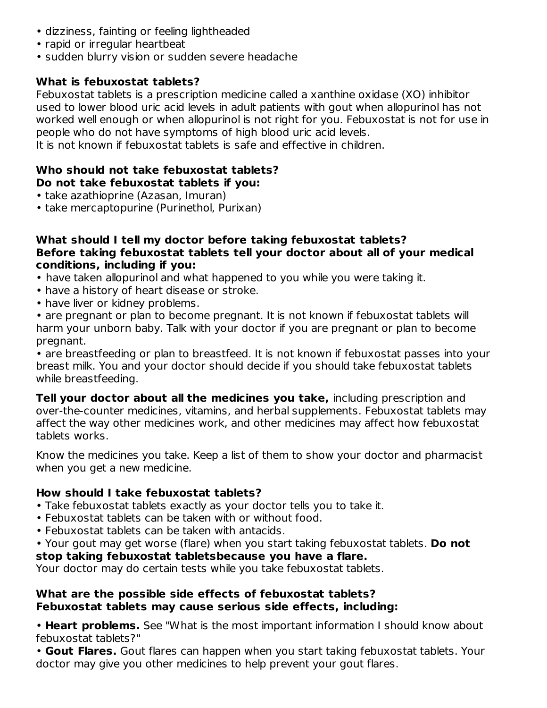- dizziness, fainting or feeling lightheaded
- rapid or irregular heartbeat
- sudden blurry vision or sudden severe headache

### **What is febuxostat tablets?**

Febuxostat tablets is a prescription medicine called a xanthine oxidase (XO) inhibitor used to lower blood uric acid levels in adult patients with gout when allopurinol has not worked well enough or when allopurinol is not right for you. Febuxostat is not for use in people who do not have symptoms of high blood uric acid levels.

It is not known if febuxostat tablets is safe and effective in children.

#### **Who should not take febuxostat tablets? Do not take febuxostat tablets if you:**

- take azathioprine (Azasan, Imuran)
- take mercaptopurine (Purinethol, Purixan)

#### **What should I tell my doctor before taking febuxostat tablets? Before taking febuxostat tablets tell your doctor about all of your medical conditions, including if you:**

- have taken allopurinol and what happened to you while you were taking it.
- have a history of heart disease or stroke.
- have liver or kidney problems.

• are pregnant or plan to become pregnant. It is not known if febuxostat tablets will harm your unborn baby. Talk with your doctor if you are pregnant or plan to become pregnant.

• are breastfeeding or plan to breastfeed. It is not known if febuxostat passes into your breast milk. You and your doctor should decide if you should take febuxostat tablets while breastfeeding.

**Tell your doctor about all the medicines you take,** including prescription and over-the-counter medicines, vitamins, and herbal supplements. Febuxostat tablets may affect the way other medicines work, and other medicines may affect how febuxostat tablets works.

Know the medicines you take. Keep a list of them to show your doctor and pharmacist when you get a new medicine.

### **How should I take febuxostat tablets?**

- Take febuxostat tablets exactly as your doctor tells you to take it.
- Febuxostat tablets can be taken with or without food.
- Febuxostat tablets can be taken with antacids.
- Your gout may get worse (flare) when you start taking febuxostat tablets. **Do not**

#### **stop taking febuxostat tabletsbecause you have a flare.**

Your doctor may do certain tests while you take febuxostat tablets.

#### **What are the possible side effects of febuxostat tablets? Febuxostat tablets may cause serious side effects, including:**

• **Heart problems.** See "What is the most important information I should know about febuxostat tablets?"

• **Gout Flares.** Gout flares can happen when you start taking febuxostat tablets. Your doctor may give you other medicines to help prevent your gout flares.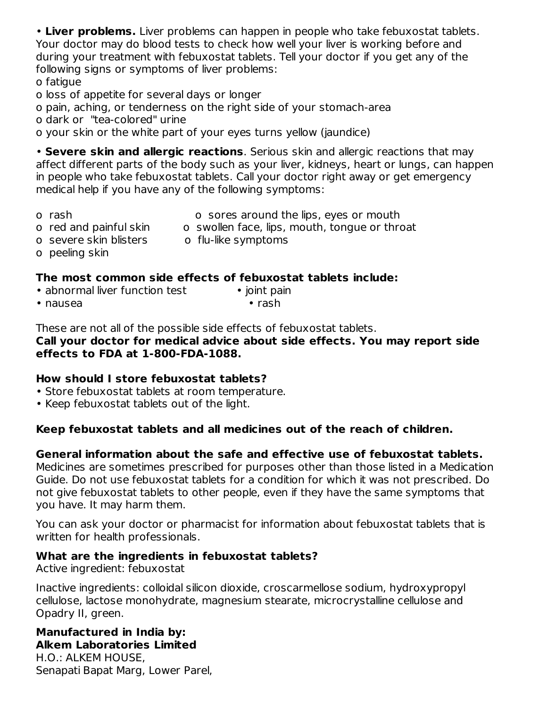• **Liver problems.** Liver problems can happen in people who take febuxostat tablets. Your doctor may do blood tests to check how well your liver is working before and during your treatment with febuxostat tablets. Tell your doctor if you get any of the following signs or symptoms of liver problems:

o fatigue

o loss of appetite for several days or longer

o pain, aching, or tenderness on the right side of your stomach-area

o dark or "tea-colored" urine

o your skin or the white part of your eyes turns yellow (jaundice)

• **Severe skin and allergic reactions**. Serious skin and allergic reactions that may affect different parts of the body such as your liver, kidneys, heart or lungs, can happen in people who take febuxostat tablets. Call your doctor right away or get emergency medical help if you have any of the following symptoms:

- 
- o rash o sores around the lips, eyes or mouth
- o red and painful skin o swollen face, lips, mouth, tongue or throat
- o severe skin blisters o flu-like symptoms
- o peeling skin

## **The most common side effects of febuxostat tablets include:**

- abnormal liver function test joint pain
- nausea rash

These are not all of the possible side effects of febuxostat tablets.

**Call your doctor for medical advice about side effects. You may report side effects to FDA at 1-800-FDA-1088.**

### **How should I store febuxostat tablets?**

- Store febuxostat tablets at room temperature.
- Keep febuxostat tablets out of the light.

#### **Keep febuxostat tablets and all medicines out of the reach of children.**

#### **General information about the safe and effective use of febuxostat tablets.**

Medicines are sometimes prescribed for purposes other than those listed in a Medication Guide. Do not use febuxostat tablets for a condition for which it was not prescribed. Do not give febuxostat tablets to other people, even if they have the same symptoms that you have. It may harm them.

You can ask your doctor or pharmacist for information about febuxostat tablets that is written for health professionals.

#### **What are the ingredients in febuxostat tablets?**

Active ingredient: febuxostat

Inactive ingredients: colloidal silicon dioxide, croscarmellose sodium, hydroxypropyl cellulose, lactose monohydrate, magnesium stearate, microcrystalline cellulose and Opadry II, green.

# **Manufactured in India by: Alkem Laboratories Limited**

H.O.: ALKEM HOUSE, Senapati Bapat Marg, Lower Parel,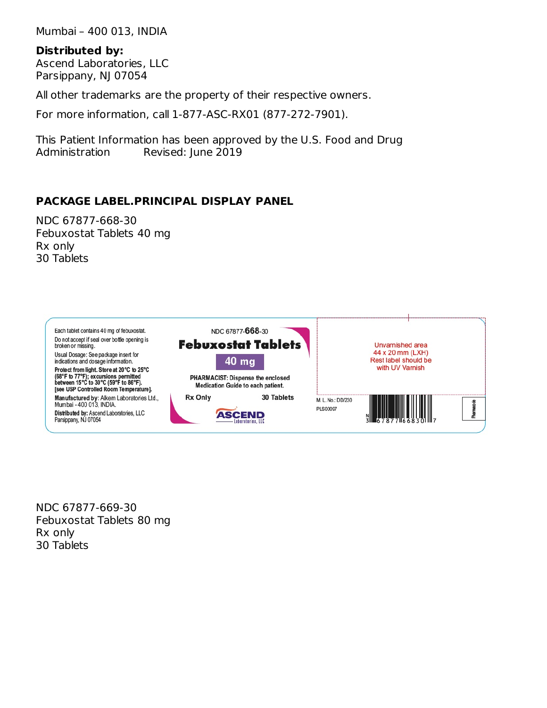Mumbai – 400 013, INDIA

#### **Distributed by:**

Ascend Laboratories, LLC Parsippany, NJ 07054

All other trademarks are the property of their respective owners.

For more information, call 1-877-ASC-RX01 (877-272-7901).

This Patient Information has been approved by the U.S. Food and Drug Administration Revised: June 2019

# **PACKAGE LABEL.PRINCIPAL DISPLAY PANEL**

NDC 67877-668-30 Febuxostat Tablets 40 mg Rx only 30 Tablets



NDC 67877-669-30 Febuxostat Tablets 80 mg Rx only 30 Tablets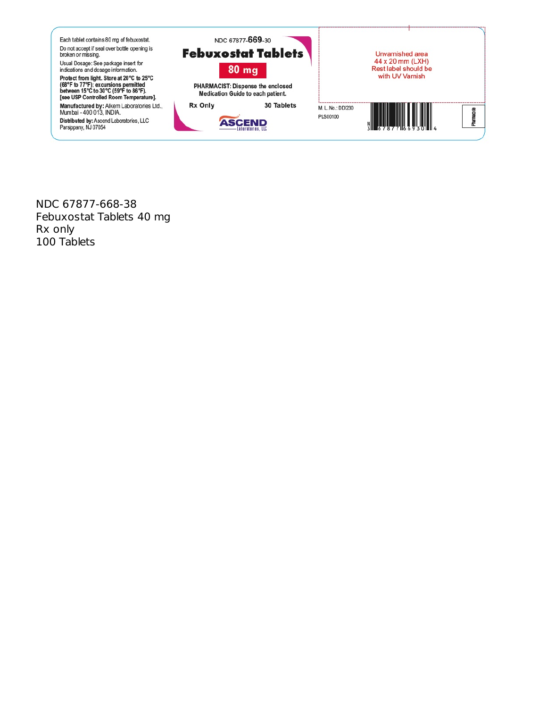

NDC 67877-668-38 Febuxostat Tablets 40 mg Rx only 100 Tablets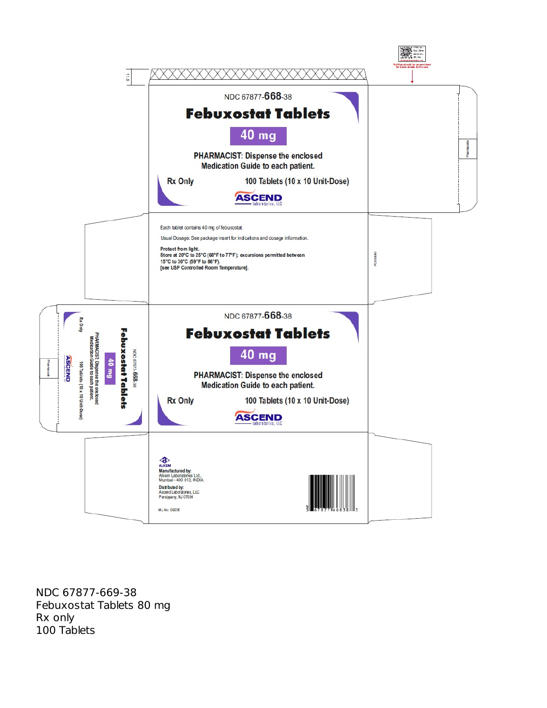

NDC 67877-669-38 Febuxostat Tablets 80 mg Rx only 100 Tablets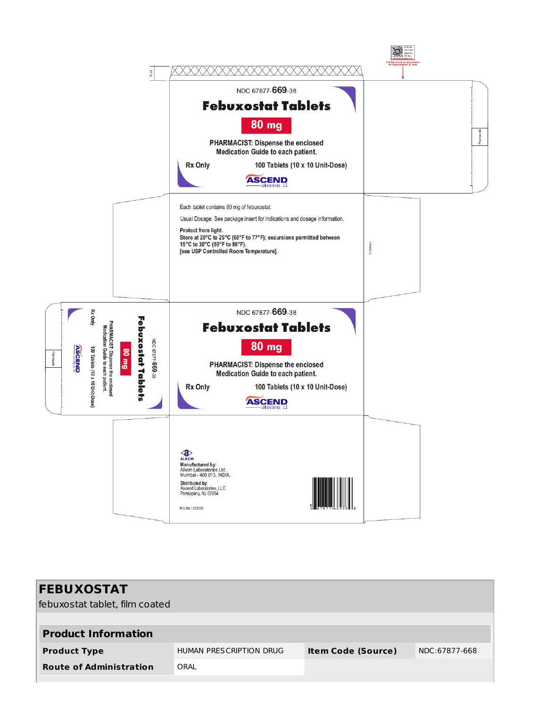

| <b>FEBUXOSTAT</b>              |                         |                           |               |
|--------------------------------|-------------------------|---------------------------|---------------|
| febuxostat tablet, film coated |                         |                           |               |
|                                |                         |                           |               |
| <b>Product Information</b>     |                         |                           |               |
| <b>Product Type</b>            | HUMAN PRESCRIPTION DRUG | <b>Item Code (Source)</b> | NDC:67877-668 |
| <b>Route of Administration</b> | ORAL                    |                           |               |
|                                |                         |                           |               |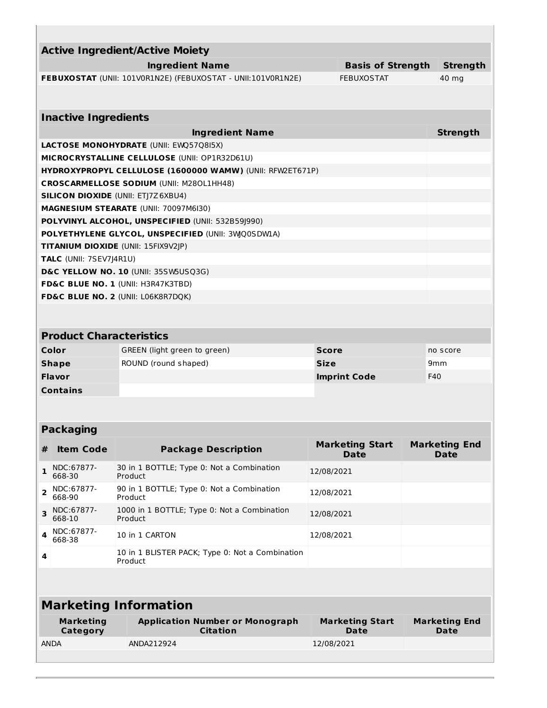| <b>Active Ingredient/Active Moiety</b>                       |                          |                 |
|--------------------------------------------------------------|--------------------------|-----------------|
| <b>Ingredient Name</b>                                       | <b>Basis of Strength</b> | <b>Strength</b> |
| FEBUXOSTAT (UNII: 101V0R1N2E) (FEBUXOSTAT - UNII:101V0R1N2E) | <b>FEBUXOSTAT</b>        | 40 mg           |
|                                                              |                          |                 |
|                                                              |                          |                 |
| <b>Inactive Ingredients</b>                                  |                          |                 |
| <b>Ingredient Name</b>                                       |                          | <b>Strength</b> |
| <b>LACTOSE MONOHYDRATE (UNII: EWQ57Q8I5X)</b>                |                          |                 |
| MICROCRYSTALLINE CELLULOSE (UNII: OP1R32D61U)                |                          |                 |
| HYDROXYPROPYL CELLULOSE (1600000 WAMW) (UNII: RFW2ET671P)    |                          |                 |
| <b>CROSCARMELLOSE SODIUM (UNII: M280L1HH48)</b>              |                          |                 |
| <b>SILICON DIOXIDE (UNII: ETI7Z6XBU4)</b>                    |                          |                 |
| <b>MAGNESIUM STEARATE (UNII: 70097M6I30)</b>                 |                          |                 |
| POLYVINYL ALCOHOL, UNSPECIFIED (UNII: 532B591990)            |                          |                 |
| POLYETHYLENE GLYCOL, UNSPECIFIED (UNII: 3WQ0SDW1A)           |                          |                 |
| <b>TITANIUM DIOXIDE (UNII: 15FIX9V2JP)</b>                   |                          |                 |
| <b>TALC (UNII: 7SEV7J4R1U)</b>                               |                          |                 |
| D&C YELLOW NO. 10 (UNII: 35SW5USQ3G)                         |                          |                 |
| FD&C BLUE NO. 1 (UNII: H3R47K3TBD)                           |                          |                 |
| <b>FD&amp;C BLUE NO. 2 (UNII: LO6K8R7DQK)</b>                |                          |                 |
|                                                              |                          |                 |

| <b>Product Characteristics</b> |                              |                     |                 |  |  |  |
|--------------------------------|------------------------------|---------------------|-----------------|--|--|--|
| Color                          | GREEN (light green to green) | <b>Score</b>        | no score        |  |  |  |
| <b>Shape</b>                   | ROUND (round shaped)         | <b>Size</b>         | 9 <sub>mm</sub> |  |  |  |
| <b>Flavor</b>                  |                              | <b>Imprint Code</b> | F40             |  |  |  |
| <b>Contains</b>                |                              |                     |                 |  |  |  |

# **Packaging**

| # | <b>Item Code</b>     | <b>Package Description</b>                                 | <b>Marketing Start</b><br>Date | <b>Marketing End</b><br>Date |
|---|----------------------|------------------------------------------------------------|--------------------------------|------------------------------|
|   | NDC:67877-<br>668-30 | 30 in 1 BOTTLE; Type 0: Not a Combination<br>Product       | 12/08/2021                     |                              |
|   | NDC:67877-<br>668-90 | 90 in 1 BOTTLE; Type 0: Not a Combination<br>Product       | 12/08/2021                     |                              |
|   | NDC:67877-<br>668-10 | 1000 in 1 BOTTLE; Type 0: Not a Combination<br>Product     | 12/08/2021                     |                              |
|   | NDC:67877-<br>668-38 | 10 in 1 CARTON                                             | 12/08/2021                     |                              |
| 4 |                      | 10 in 1 BLISTER PACK; Type 0: Not a Combination<br>Product |                                |                              |

# **Marketing Information**

| <b>Marketing</b> | <b>Application Number or Monograph</b> | <b>Marketing Start</b> | <b>Marketing End</b> |
|------------------|----------------------------------------|------------------------|----------------------|
| Category         | <b>Citation</b>                        | Date                   | <b>Date</b>          |
| <b>ANDA</b>      | ANDA212924                             | 12/08/2021             |                      |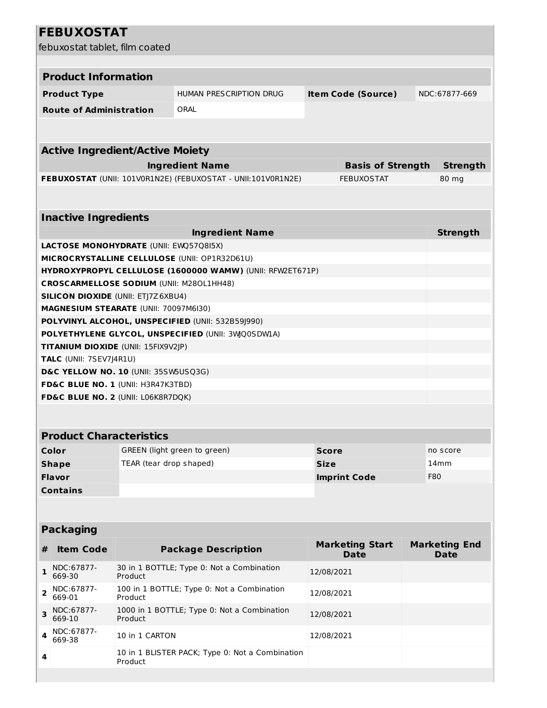# **FEBUXOSTAT**

| febuxostat tablet, film coated |                                                                       |                         |                                                              |                     |                                       |          |                                     |
|--------------------------------|-----------------------------------------------------------------------|-------------------------|--------------------------------------------------------------|---------------------|---------------------------------------|----------|-------------------------------------|
| <b>Product Information</b>     |                                                                       |                         |                                                              |                     |                                       |          |                                     |
|                                | <b>Product Type</b>                                                   |                         | HUMAN PRESCRIPTION DRUG                                      |                     | <b>Item Code (Source)</b>             |          | NDC:67877-669                       |
|                                | <b>Route of Administration</b>                                        |                         | ORAL                                                         |                     |                                       |          |                                     |
|                                |                                                                       |                         |                                                              |                     |                                       |          |                                     |
|                                |                                                                       |                         |                                                              |                     |                                       |          |                                     |
|                                | <b>Active Ingredient/Active Moiety</b>                                |                         |                                                              |                     |                                       |          |                                     |
|                                |                                                                       |                         | <b>Ingredient Name</b>                                       |                     | <b>Basis of Strength</b>              |          | <b>Strength</b>                     |
|                                |                                                                       |                         | FEBUXOSTAT (UNII: 101VOR1N2E) (FEBUXOSTAT - UNII:101VOR1N2E) | <b>FEBUXOSTAT</b>   |                                       | 80 mg    |                                     |
|                                |                                                                       |                         |                                                              |                     |                                       |          |                                     |
|                                | <b>Inactive Ingredients</b>                                           |                         |                                                              |                     |                                       |          |                                     |
|                                |                                                                       |                         | <b>Ingredient Name</b>                                       |                     |                                       |          | <b>Strength</b>                     |
|                                | LACTOSE MONOHYDRATE (UNII: EWQ57Q8I5X)                                |                         |                                                              |                     |                                       |          |                                     |
|                                |                                                                       |                         | MICROCRYSTALLINE CELLULOSE (UNII: OP1R32D61U)                |                     |                                       |          |                                     |
|                                |                                                                       |                         | HYDROXYPROPYL CELLULOSE (1600000 WAMW) (UNII: RFW2ET671P)    |                     |                                       |          |                                     |
|                                | <b>CROSCARMELLOSE SODIUM (UNII: M280L1HH48)</b>                       |                         |                                                              |                     |                                       |          |                                     |
|                                | <b>SILICON DIOXIDE (UNII: ETJ7Z6XBU4)</b>                             |                         |                                                              |                     |                                       |          |                                     |
|                                | MAGNESIUM STEARATE (UNII: 70097M6I30)                                 |                         |                                                              |                     |                                       |          |                                     |
|                                |                                                                       |                         | POLYVINYL ALCOHOL, UNSPECIFIED (UNII: 532B59J990)            |                     |                                       |          |                                     |
|                                |                                                                       |                         | POLYETHYLENE GLYCOL, UNSPECIFIED (UNII: 3WQ0SDWLA)           |                     |                                       |          |                                     |
|                                | TITANIUM DIOXIDE (UNII: 15FIX9V2JP)<br><b>TALC</b> (UNII: 7SEV7J4R1U) |                         |                                                              |                     |                                       |          |                                     |
|                                | D&C YELLOW NO. 10 (UNII: 35SW5USQ3G)                                  |                         |                                                              |                     |                                       |          |                                     |
|                                | FD&C BLUE NO. 1 (UNII: H3R47K3TBD)                                    |                         |                                                              |                     |                                       |          |                                     |
|                                | FD&C BLUE NO. 2 (UNII: L06K8R7DQK)                                    |                         |                                                              |                     |                                       |          |                                     |
|                                |                                                                       |                         |                                                              |                     |                                       |          |                                     |
|                                |                                                                       |                         |                                                              |                     |                                       |          |                                     |
|                                | <b>Product Characteristics</b>                                        |                         |                                                              |                     |                                       |          |                                     |
|                                | Color                                                                 |                         | GREEN (light green to green)                                 | <b>Score</b>        |                                       | no score |                                     |
|                                | <b>Shape</b>                                                          | TEAR (tear drop shaped) |                                                              | <b>Size</b>         |                                       | 14mm     |                                     |
|                                | <b>Flavor</b>                                                         |                         |                                                              | <b>Imprint Code</b> |                                       | F80      |                                     |
|                                | <b>Contains</b>                                                       |                         |                                                              |                     |                                       |          |                                     |
|                                |                                                                       |                         |                                                              |                     |                                       |          |                                     |
| <b>Packaging</b>               |                                                                       |                         |                                                              |                     |                                       |          |                                     |
| #                              | <b>Item Code</b>                                                      |                         | <b>Package Description</b>                                   |                     | <b>Marketing Start</b><br><b>Date</b> |          | <b>Marketing End</b><br><b>Date</b> |
| 1                              | NDC:67877-<br>669-30                                                  | Product                 | 30 in 1 BOTTLE; Type 0: Not a Combination                    | 12/08/2021          |                                       |          |                                     |
| 2                              | NDC:67877-<br>669-01                                                  | Product                 | 100 in 1 BOTTLE; Type 0: Not a Combination                   | 12/08/2021          |                                       |          |                                     |
| 3                              | NDC:67877-<br>669-10                                                  | Product                 | 1000 in 1 BOTTLE; Type 0: Not a Combination                  | 12/08/2021          |                                       |          |                                     |
| 4                              | NDC:67877-<br>669-38                                                  | 10 in 1 CARTON          |                                                              | 12/08/2021          |                                       |          |                                     |
| 4                              |                                                                       | Product                 | 10 in 1 BLISTER PACK; Type 0: Not a Combination              |                     |                                       |          |                                     |